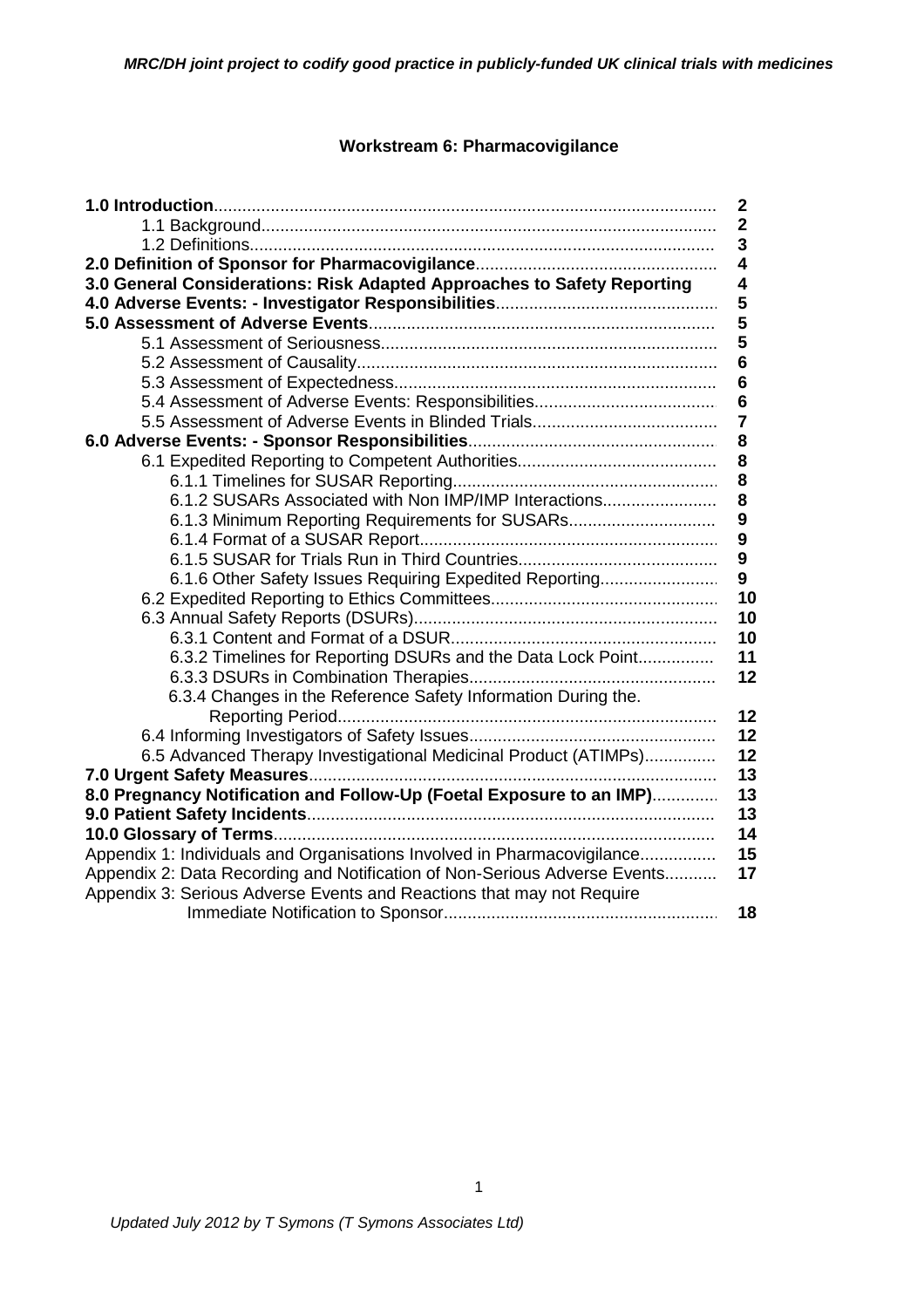# **Workstream 6: Pharmacovigilance**

|                                                                           | $\boldsymbol{2}$        |
|---------------------------------------------------------------------------|-------------------------|
|                                                                           | $\mathbf{2}$            |
|                                                                           | 3                       |
|                                                                           | $\overline{\mathbf{4}}$ |
| 3.0 General Considerations: Risk Adapted Approaches to Safety Reporting   | 4                       |
|                                                                           | 5                       |
|                                                                           | 5                       |
|                                                                           | 5                       |
|                                                                           | 6                       |
|                                                                           | 6                       |
|                                                                           | 6                       |
|                                                                           | $\overline{7}$          |
|                                                                           | 8                       |
|                                                                           | 8                       |
|                                                                           | 8                       |
| 6.1.2 SUSARs Associated with Non IMP/IMP Interactions                     | 8                       |
| 6.1.3 Minimum Reporting Requirements for SUSARs                           | 9                       |
|                                                                           | 9                       |
|                                                                           | $\boldsymbol{9}$        |
| 6.1.6 Other Safety Issues Requiring Expedited Reporting                   | 9                       |
|                                                                           | 10                      |
|                                                                           | 10                      |
|                                                                           | 10                      |
| 6.3.2 Timelines for Reporting DSURs and the Data Lock Point               | 11                      |
|                                                                           | 12                      |
| 6.3.4 Changes in the Reference Safety Information During the.             |                         |
|                                                                           | 12                      |
|                                                                           | 12                      |
| 6.5 Advanced Therapy Investigational Medicinal Product (ATIMPs)           | 12                      |
|                                                                           | 13<br>13                |
| 8.0 Pregnancy Notification and Follow-Up (Foetal Exposure to an IMP)      | 13                      |
|                                                                           | 14                      |
| Appendix 1: Individuals and Organisations Involved in Pharmacovigilance   | 15                      |
| Appendix 2: Data Recording and Notification of Non-Serious Adverse Events | 17                      |
| Appendix 3: Serious Adverse Events and Reactions that may not Require     |                         |
|                                                                           | 18                      |
|                                                                           |                         |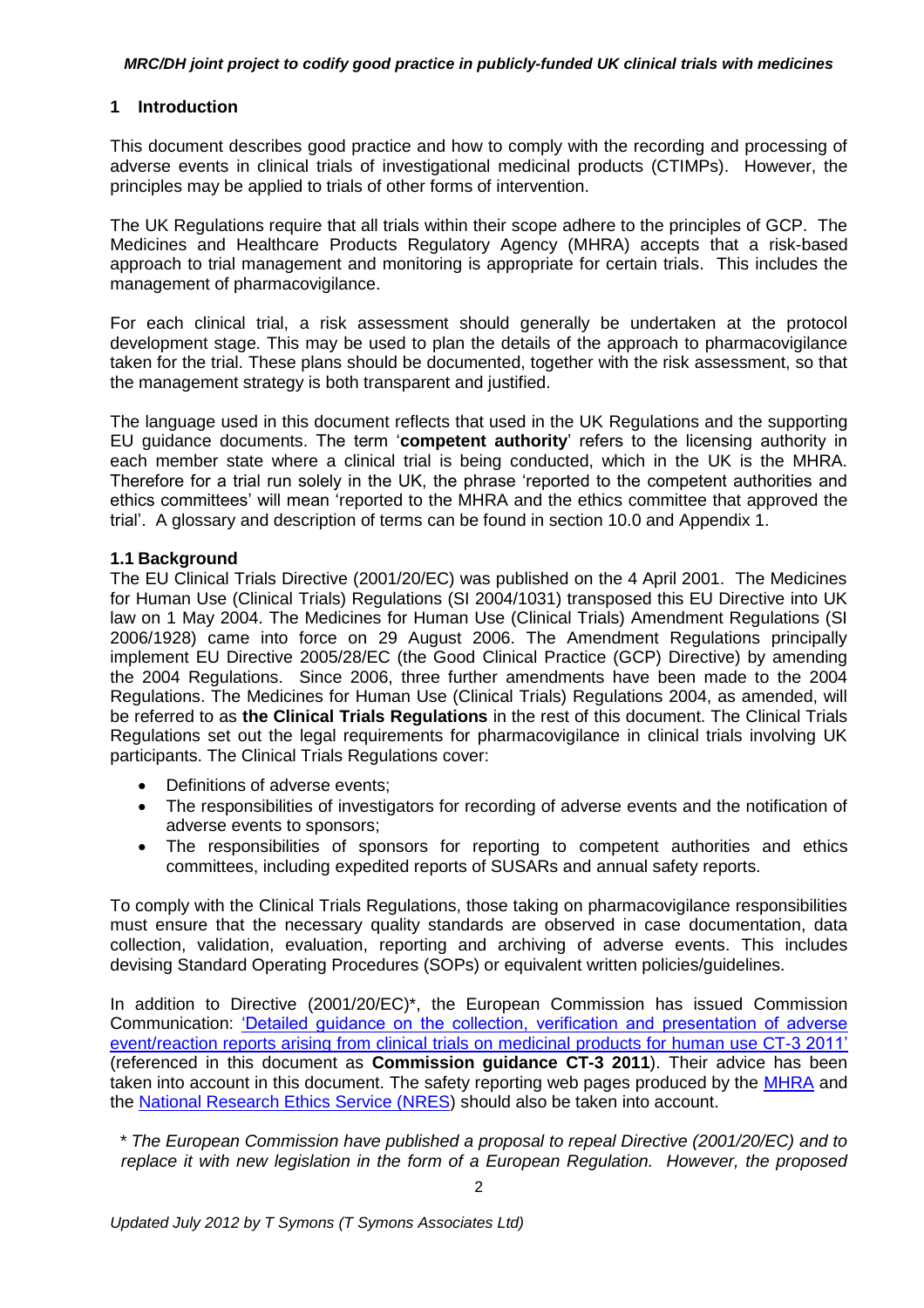# **1 Introduction**

This document describes good practice and how to comply with the recording and processing of adverse events in clinical trials of investigational medicinal products (CTIMPs). However, the principles may be applied to trials of other forms of intervention.

The UK Regulations require that all trials within their scope adhere to the principles of GCP. The Medicines and Healthcare Products Regulatory Agency (MHRA) accepts that a risk-based approach to trial management and monitoring is appropriate for certain trials. This includes the management of pharmacovigilance.

For each clinical trial, a risk assessment should generally be undertaken at the protocol development stage. This may be used to plan the details of the approach to pharmacovigilance taken for the trial. These plans should be documented, together with the risk assessment, so that the management strategy is both transparent and justified.

The language used in this document reflects that used in the UK Regulations and the supporting EU guidance documents. The term '**competent authority**' refers to the licensing authority in each member state where a clinical trial is being conducted, which in the UK is the MHRA. Therefore for a trial run solely in the UK, the phrase 'reported to the competent authorities and ethics committees' will mean 'reported to the MHRA and the ethics committee that approved the trial'. A glossary and description of terms can be found in section 10.0 and Appendix 1.

### **1.1 Background**

The EU Clinical Trials Directive (2001/20/EC) was published on the 4 April 2001. The Medicines for Human Use (Clinical Trials) Regulations (SI 2004/1031) transposed this EU Directive into UK law on 1 May 2004. The Medicines for Human Use (Clinical Trials) Amendment Regulations (SI 2006/1928) came into force on 29 August 2006. The Amendment Regulations principally implement EU Directive 2005/28/EC (the Good Clinical Practice (GCP) Directive) by amending the 2004 Regulations. Since 2006, three further amendments have been made to the 2004 Regulations. The Medicines for Human Use (Clinical Trials) Regulations 2004, as amended, will be referred to as **the Clinical Trials Regulations** in the rest of this document. The Clinical Trials Regulations set out the legal requirements for pharmacovigilance in clinical trials involving UK participants. The Clinical Trials Regulations cover:

- Definitions of adverse events;
- The responsibilities of investigators for recording of adverse events and the notification of adverse events to sponsors;
- The responsibilities of sponsors for reporting to competent authorities and ethics committees, including expedited reports of SUSARs and annual safety reports.

To comply with the Clinical Trials Regulations, those taking on pharmacovigilance responsibilities must ensure that the necessary quality standards are observed in case documentation, data collection, validation, evaluation, reporting and archiving of adverse events. This includes devising Standard Operating Procedures (SOPs) or equivalent written policies/guidelines.

In addition to Directive (2001/20/EC)\*, the European Commission has issued Commission Communication: ['Detailed guidance on the collection, verification and presentation of adverse](http://ec.europa.eu/health/files/eudralex/vol-10/2011_c172_01/2011_c172_01_en.pdf)  [event/reaction reports arising from clinical trials on medicinal products for human use CT-3 2011'](http://ec.europa.eu/health/files/eudralex/vol-10/2011_c172_01/2011_c172_01_en.pdf) (referenced in this document as **Commission guidance CT-3 2011**). Their advice has been taken into account in this document. The safety reporting web pages produced by the [MHRA](http://www.mhra.gov.uk/Howweregulate/Medicines/Licensingofmedicines/Clinicaltrials/Safetyreporting-SUSARsandASRs/index.htm) and the **National Research Ethics Service (NRES)** should also be taken into account.

*\* The European Commission have published a proposal to repeal Directive (2001/20/EC) and to replace it with new legislation in the form of a European Regulation. However, the proposed*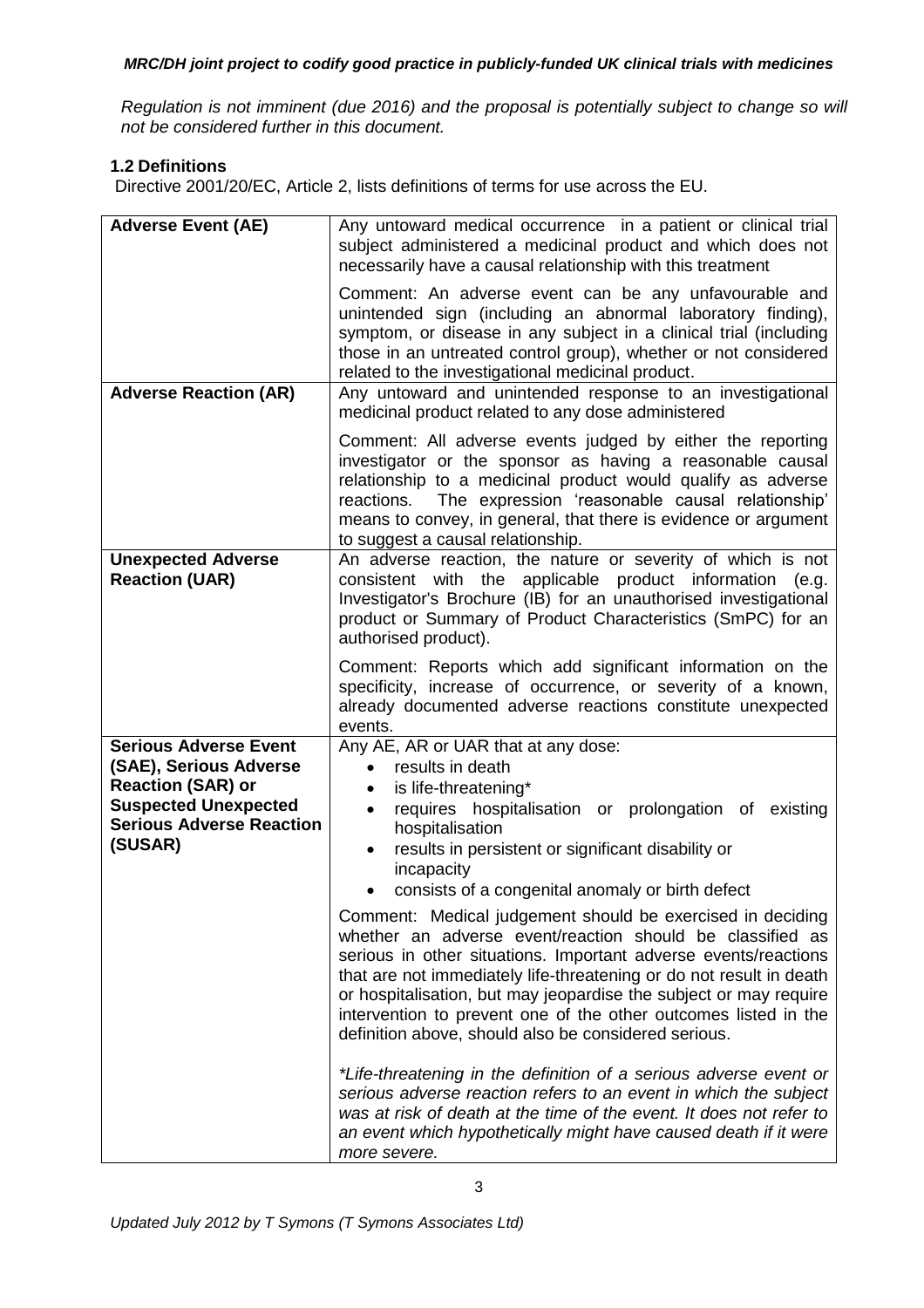*Regulation is not imminent (due 2016) and the proposal is potentially subject to change so will not be considered further in this document.*

# **1.2 Definitions**

Directive 2001/20/EC, Article 2, lists definitions of terms for use across the EU.

| <b>Adverse Event (AE)</b>                                                                                                                                       | Any untoward medical occurrence in a patient or clinical trial<br>subject administered a medicinal product and which does not<br>necessarily have a causal relationship with this treatment                                                                                                                                                                                                                                                                       |
|-----------------------------------------------------------------------------------------------------------------------------------------------------------------|-------------------------------------------------------------------------------------------------------------------------------------------------------------------------------------------------------------------------------------------------------------------------------------------------------------------------------------------------------------------------------------------------------------------------------------------------------------------|
|                                                                                                                                                                 | Comment: An adverse event can be any unfavourable and<br>unintended sign (including an abnormal laboratory finding),<br>symptom, or disease in any subject in a clinical trial (including<br>those in an untreated control group), whether or not considered<br>related to the investigational medicinal product.                                                                                                                                                 |
| <b>Adverse Reaction (AR)</b>                                                                                                                                    | Any untoward and unintended response to an investigational<br>medicinal product related to any dose administered                                                                                                                                                                                                                                                                                                                                                  |
|                                                                                                                                                                 | Comment: All adverse events judged by either the reporting<br>investigator or the sponsor as having a reasonable causal<br>relationship to a medicinal product would qualify as adverse<br>The expression 'reasonable causal relationship'<br>reactions.<br>means to convey, in general, that there is evidence or argument<br>to suggest a causal relationship.                                                                                                  |
| <b>Unexpected Adverse</b><br><b>Reaction (UAR)</b>                                                                                                              | An adverse reaction, the nature or severity of which is not<br>consistent with the applicable product information (e.g.<br>Investigator's Brochure (IB) for an unauthorised investigational<br>product or Summary of Product Characteristics (SmPC) for an<br>authorised product).                                                                                                                                                                                |
|                                                                                                                                                                 | Comment: Reports which add significant information on the<br>specificity, increase of occurrence, or severity of a known,<br>already documented adverse reactions constitute unexpected<br>events.                                                                                                                                                                                                                                                                |
| <b>Serious Adverse Event</b><br>(SAE), Serious Adverse<br><b>Reaction (SAR) or</b><br><b>Suspected Unexpected</b><br><b>Serious Adverse Reaction</b><br>(SUSAR) | Any AE, AR or UAR that at any dose:<br>results in death<br>$\bullet$<br>is life-threatening*<br>$\bullet$<br>requires hospitalisation or prolongation of existing<br>$\bullet$<br>hospitalisation<br>results in persistent or significant disability or<br>$\bullet$<br>incapacity<br>consists of a congenital anomaly or birth defect                                                                                                                            |
|                                                                                                                                                                 | Comment: Medical judgement should be exercised in deciding<br>whether an adverse event/reaction should be classified as<br>serious in other situations. Important adverse events/reactions<br>that are not immediately life-threatening or do not result in death<br>or hospitalisation, but may jeopardise the subject or may require<br>intervention to prevent one of the other outcomes listed in the<br>definition above, should also be considered serious. |
|                                                                                                                                                                 | *Life-threatening in the definition of a serious adverse event or<br>serious adverse reaction refers to an event in which the subject<br>was at risk of death at the time of the event. It does not refer to<br>an event which hypothetically might have caused death if it were<br>more severe.                                                                                                                                                                  |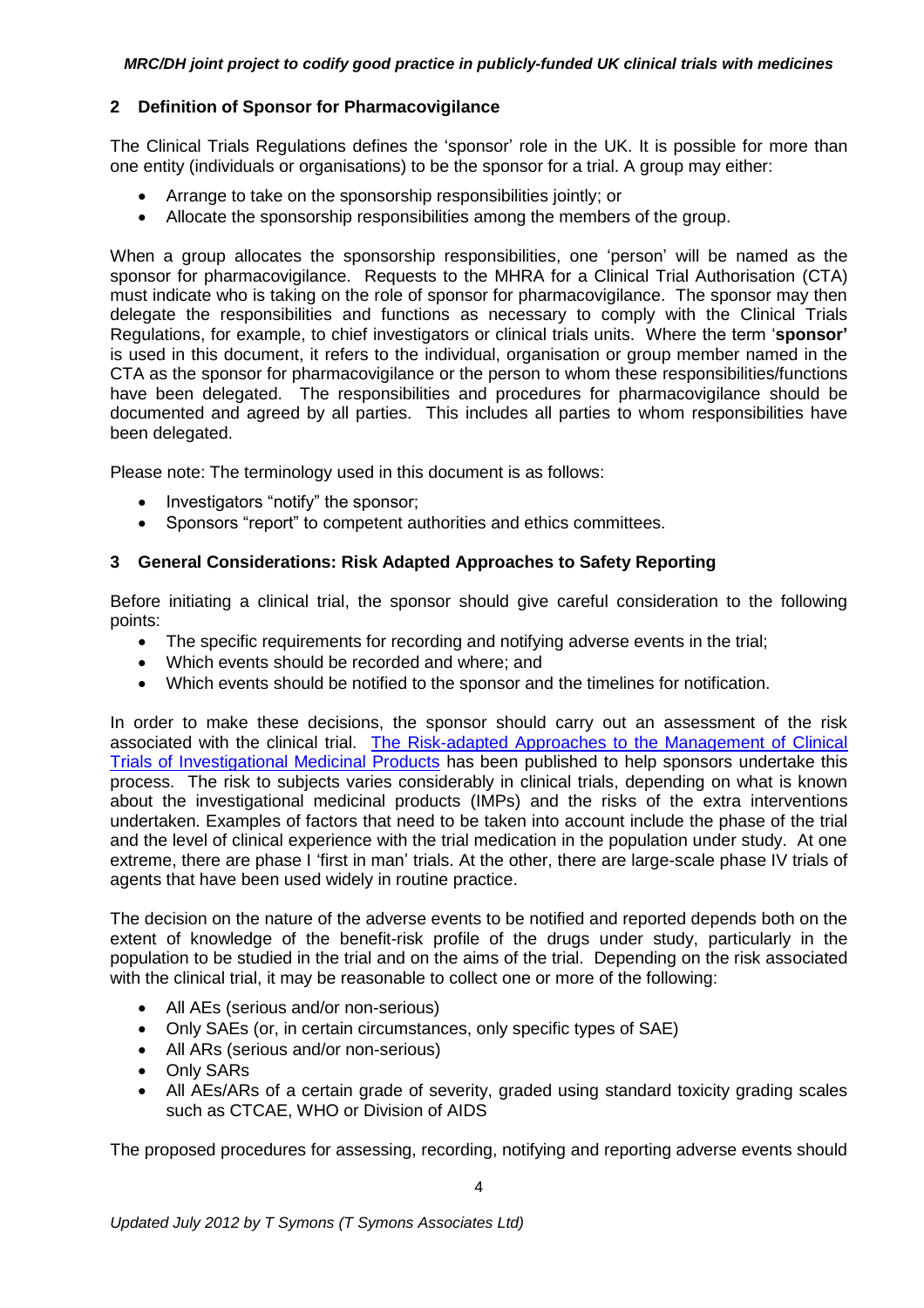# **2 Definition of Sponsor for Pharmacovigilance**

The Clinical Trials Regulations defines the 'sponsor' role in the UK. It is possible for more than one entity (individuals or organisations) to be the sponsor for a trial. A group may either:

- Arrange to take on the sponsorship responsibilities jointly; or
- Allocate the sponsorship responsibilities among the members of the group.

When a group allocates the sponsorship responsibilities, one 'person' will be named as the sponsor for pharmacovigilance. Requests to the MHRA for a Clinical Trial Authorisation (CTA) must indicate who is taking on the role of sponsor for pharmacovigilance. The sponsor may then delegate the responsibilities and functions as necessary to comply with the Clinical Trials Regulations, for example, to chief investigators or clinical trials units. Where the term '**sponsor'** is used in this document, it refers to the individual, organisation or group member named in the CTA as the sponsor for pharmacovigilance or the person to whom these responsibilities/functions have been delegated. The responsibilities and procedures for pharmacovigilance should be documented and agreed by all parties. This includes all parties to whom responsibilities have been delegated.

Please note: The terminology used in this document is as follows:

- Investigators "notify" the sponsor;
- Sponsors "report" to competent authorities and ethics committees.

# **3 General Considerations: Risk Adapted Approaches to Safety Reporting**

Before initiating a clinical trial, the sponsor should give careful consideration to the following points:

- The specific requirements for recording and notifying adverse events in the trial;
- Which events should be recorded and where; and
- Which events should be notified to the sponsor and the timelines for notification.

In order to make these decisions, the sponsor should carry out an assessment of the risk associated with the clinical trial. [The Risk-adapted Approaches to the Management of Clinical](http://www.mhra.gov.uk/home/groups/l-ctu/documents/websiteresources/con111784.pdf)  [Trials of Investigational Medicinal Products](http://www.mhra.gov.uk/home/groups/l-ctu/documents/websiteresources/con111784.pdf) has been published to help sponsors undertake this process. The risk to subjects varies considerably in clinical trials, depending on what is known about the investigational medicinal products (IMPs) and the risks of the extra interventions undertaken. Examples of factors that need to be taken into account include the phase of the trial and the level of clinical experience with the trial medication in the population under study. At one extreme, there are phase I 'first in man' trials. At the other, there are large-scale phase IV trials of agents that have been used widely in routine practice.

The decision on the nature of the adverse events to be notified and reported depends both on the extent of knowledge of the benefit-risk profile of the drugs under study, particularly in the population to be studied in the trial and on the aims of the trial. Depending on the risk associated with the clinical trial, it may be reasonable to collect one or more of the following:

- All AEs (serious and/or non-serious)
- Only SAEs (or, in certain circumstances, only specific types of SAE)
- All ARs (serious and/or non-serious)
- Only SARs
- All AEs/ARs of a certain grade of severity, graded using standard toxicity grading scales such as CTCAE, WHO or Division of AIDS

The proposed procedures for assessing, recording, notifying and reporting adverse events should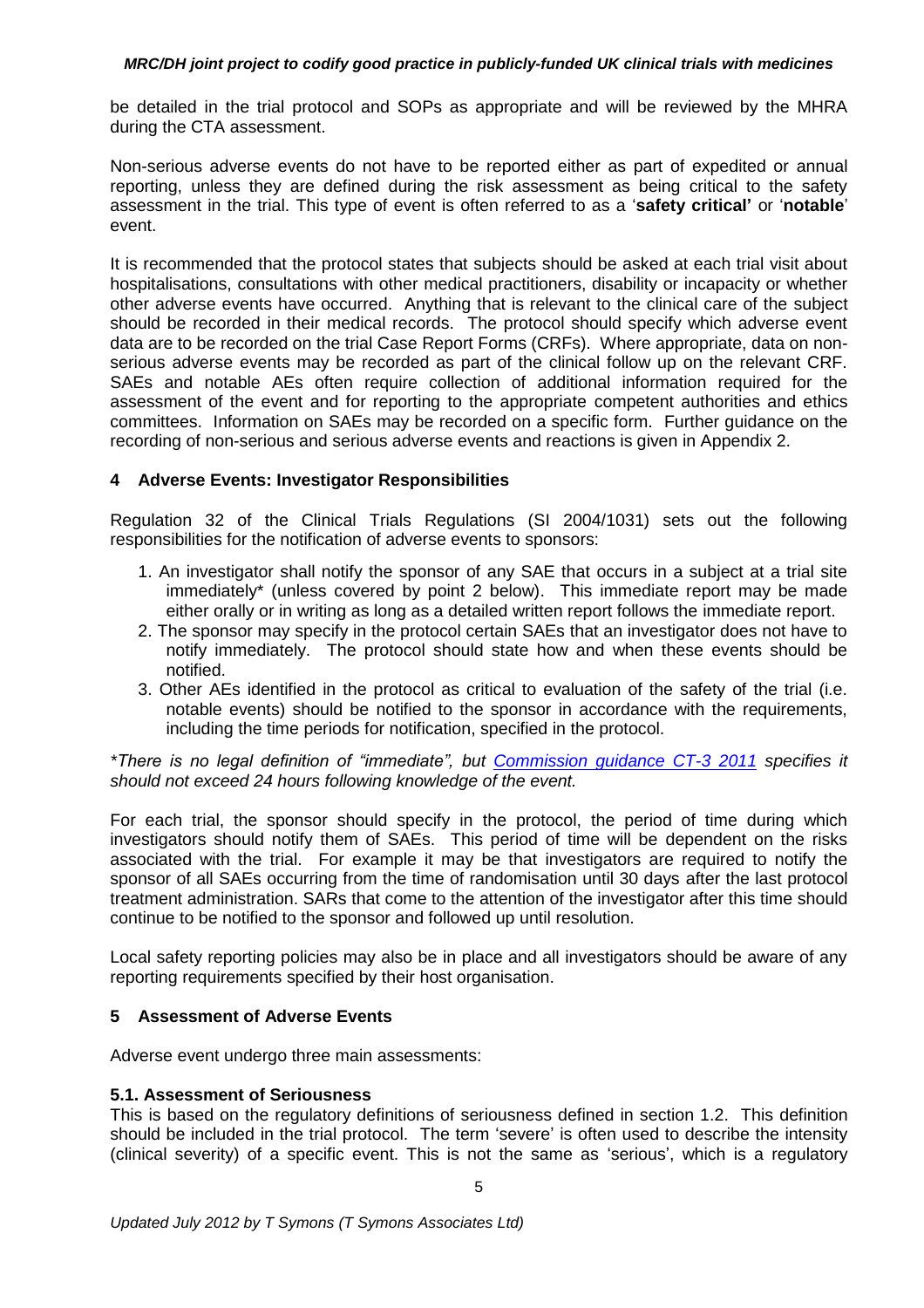be detailed in the trial protocol and SOPs as appropriate and will be reviewed by the MHRA during the CTA assessment.

Non-serious adverse events do not have to be reported either as part of expedited or annual reporting, unless they are defined during the risk assessment as being critical to the safety assessment in the trial. This type of event is often referred to as a '**safety critical'** or '**notable**' event.

It is recommended that the protocol states that subjects should be asked at each trial visit about hospitalisations, consultations with other medical practitioners, disability or incapacity or whether other adverse events have occurred. Anything that is relevant to the clinical care of the subject should be recorded in their medical records. The protocol should specify which adverse event data are to be recorded on the trial Case Report Forms (CRFs). Where appropriate, data on nonserious adverse events may be recorded as part of the clinical follow up on the relevant CRF. SAEs and notable AEs often require collection of additional information required for the assessment of the event and for reporting to the appropriate competent authorities and ethics committees. Information on SAEs may be recorded on a specific form. Further guidance on the recording of non-serious and serious adverse events and reactions is given in Appendix 2.

### **4 Adverse Events: Investigator Responsibilities**

Regulation 32 of the Clinical Trials Regulations (SI 2004/1031) sets out the following responsibilities for the notification of adverse events to sponsors:

- 1. An investigator shall notify the sponsor of any SAE that occurs in a subject at a trial site immediately\* (unless covered by point 2 below). This immediate report may be made either orally or in writing as long as a detailed written report follows the immediate report.
- 2. The sponsor may specify in the protocol certain SAEs that an investigator does not have to notify immediately. The protocol should state how and when these events should be notified.
- 3. Other AEs identified in the protocol as critical to evaluation of the safety of the trial (i.e. notable events) should be notified to the sponsor in accordance with the requirements, including the time periods for notification, specified in the protocol.

*\*There is no legal definition of "immediate", but [Commission guidance CT-3 2011](http://ec.europa.eu/health/files/eudralex/vol-10/2011_c172_01/2011_c172_01_en.pdf) specifies it should not exceed 24 hours following knowledge of the event.* 

For each trial, the sponsor should specify in the protocol, the period of time during which investigators should notify them of SAEs. This period of time will be dependent on the risks associated with the trial. For example it may be that investigators are required to notify the sponsor of all SAEs occurring from the time of randomisation until 30 days after the last protocol treatment administration. SARs that come to the attention of the investigator after this time should continue to be notified to the sponsor and followed up until resolution.

Local safety reporting policies may also be in place and all investigators should be aware of any reporting requirements specified by their host organisation.

#### **5 Assessment of Adverse Events**

Adverse event undergo three main assessments:

#### **5.1. Assessment of Seriousness**

This is based on the regulatory definitions of seriousness defined in section 1.2. This definition should be included in the trial protocol. The term 'severe' is often used to describe the intensity (clinical severity) of a specific event. This is not the same as 'serious', which is a regulatory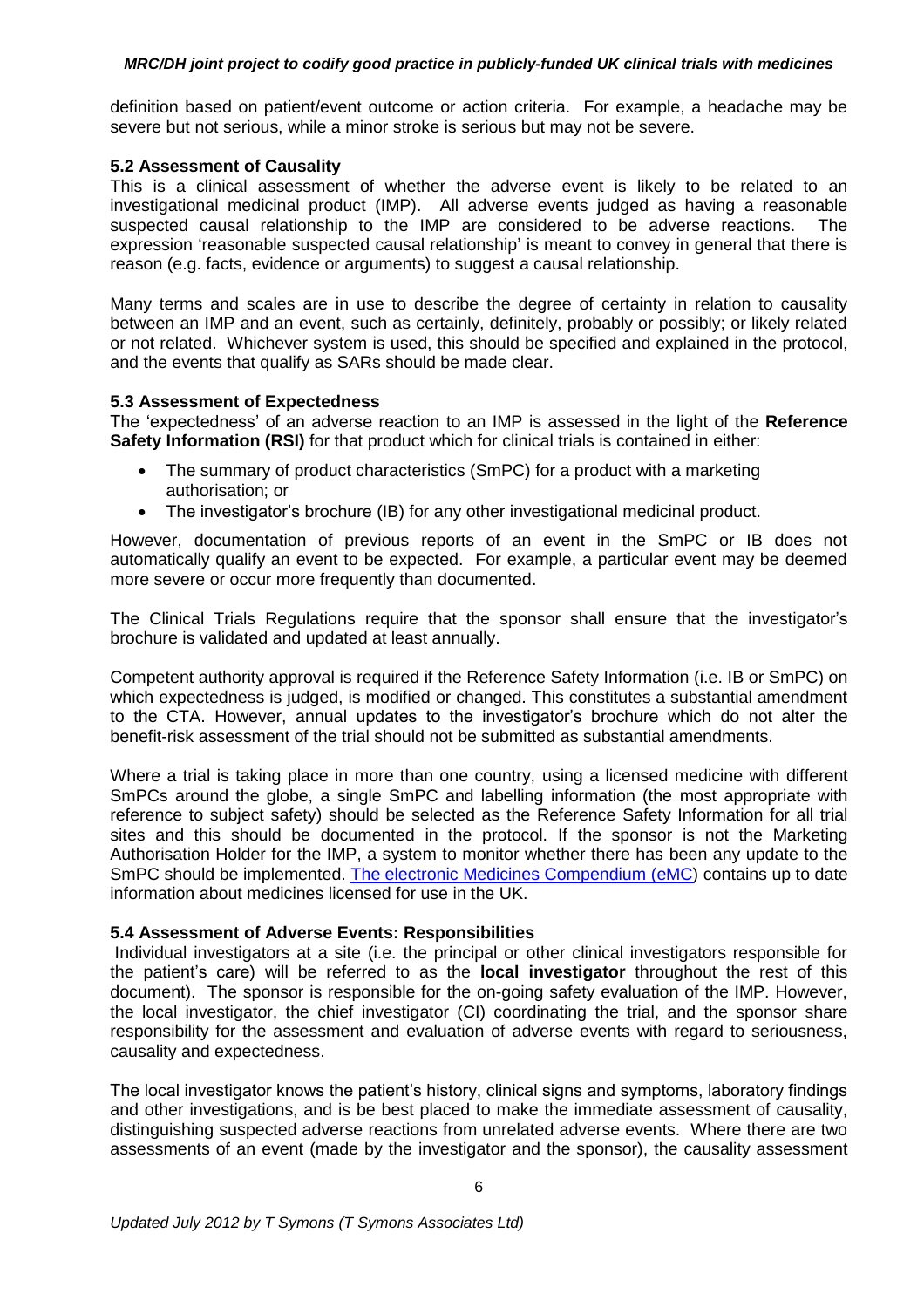definition based on patient/event outcome or action criteria. For example, a headache may be severe but not serious, while a minor stroke is serious but may not be severe.

#### **5.2 Assessment of Causality**

This is a clinical assessment of whether the adverse event is likely to be related to an investigational medicinal product (IMP). All adverse events judged as having a reasonable suspected causal relationship to the IMP are considered to be adverse reactions. The expression 'reasonable suspected causal relationship' is meant to convey in general that there is reason (e.g. facts, evidence or arguments) to suggest a causal relationship.

Many terms and scales are in use to describe the degree of certainty in relation to causality between an IMP and an event, such as certainly, definitely, probably or possibly; or likely related or not related. Whichever system is used, this should be specified and explained in the protocol, and the events that qualify as SARs should be made clear.

### **5.3 Assessment of Expectedness**

The 'expectedness' of an adverse reaction to an IMP is assessed in the light of the **Reference Safety Information (RSI)** for that product which for clinical trials is contained in either:

- The summary of product characteristics (SmPC) for a product with a marketing authorisation; or
- The investigator's brochure (IB) for any other investigational medicinal product.

However, documentation of previous reports of an event in the SmPC or IB does not automatically qualify an event to be expected. For example, a particular event may be deemed more severe or occur more frequently than documented.

The Clinical Trials Regulations require that the sponsor shall ensure that the investigator's brochure is validated and updated at least annually.

Competent authority approval is required if the Reference Safety Information (i.e. IB or SmPC) on which expectedness is judged, is modified or changed. This constitutes a substantial amendment to the CTA. However, annual updates to the investigator's brochure which do not alter the benefit-risk assessment of the trial should not be submitted as substantial amendments.

Where a trial is taking place in more than one country, using a licensed medicine with different SmPCs around the globe, a single SmPC and labelling information (the most appropriate with reference to subject safety) should be selected as the Reference Safety Information for all trial sites and this should be documented in the protocol. If the sponsor is not the Marketing Authorisation Holder for the IMP, a system to monitor whether there has been any update to the SmPC should be implemented. [The electronic Medicines Compendium \(eMC\)](http://www.medicines.org.uk/emc/) contains up to date information about medicines licensed for use in the UK.

### **5.4 Assessment of Adverse Events: Responsibilities**

Individual investigators at a site (i.e. the principal or other clinical investigators responsible for the patient's care) will be referred to as the **local investigator** throughout the rest of this document). The sponsor is responsible for the on-going safety evaluation of the IMP. However, the local investigator, the chief investigator (CI) coordinating the trial, and the sponsor share responsibility for the assessment and evaluation of adverse events with regard to seriousness, causality and expectedness.

The local investigator knows the patient's history, clinical signs and symptoms, laboratory findings and other investigations, and is be best placed to make the immediate assessment of causality, distinguishing suspected adverse reactions from unrelated adverse events. Where there are two assessments of an event (made by the investigator and the sponsor), the causality assessment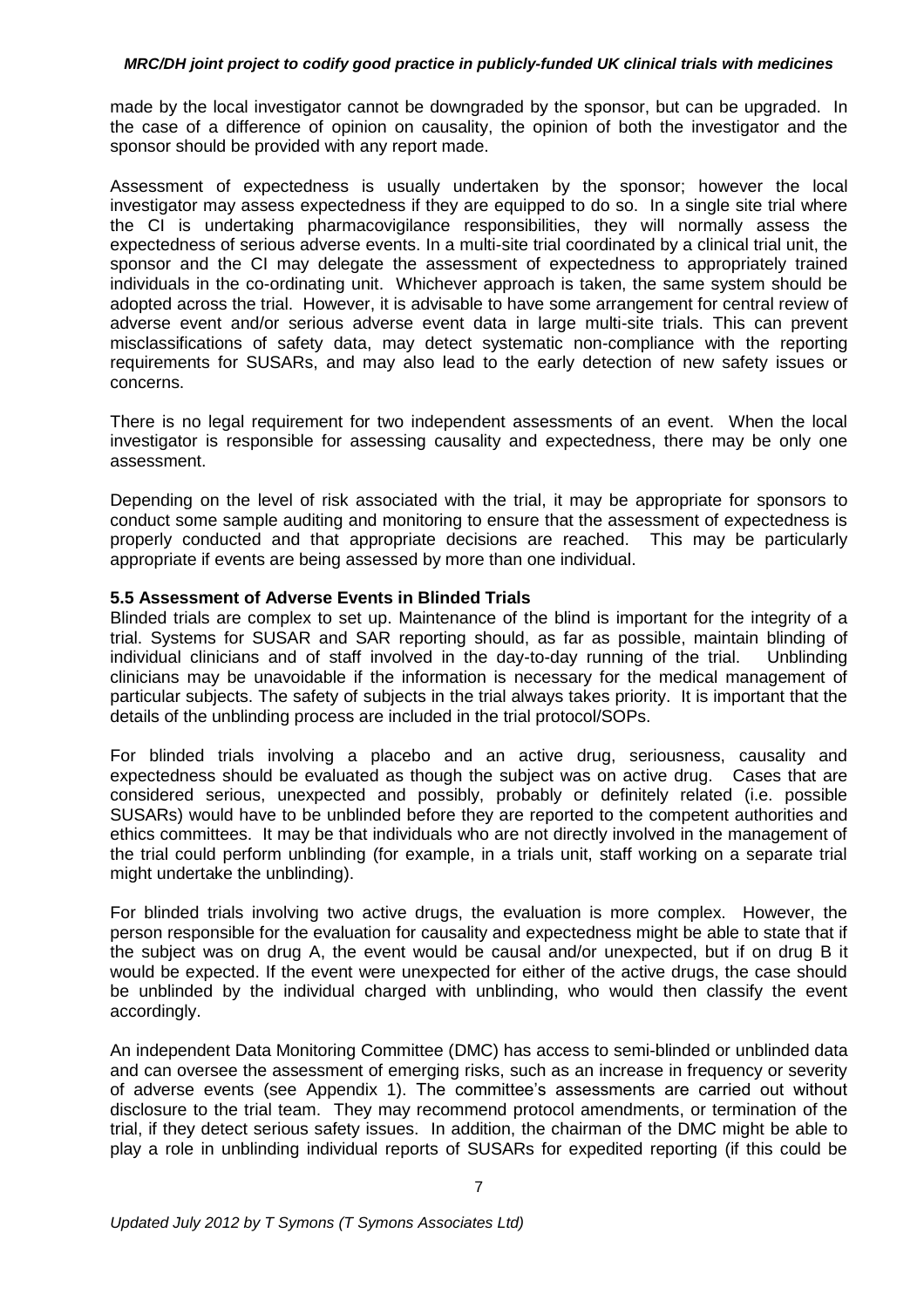made by the local investigator cannot be downgraded by the sponsor, but can be upgraded. In the case of a difference of opinion on causality, the opinion of both the investigator and the sponsor should be provided with any report made.

Assessment of expectedness is usually undertaken by the sponsor; however the local investigator may assess expectedness if they are equipped to do so. In a single site trial where the CI is undertaking pharmacovigilance responsibilities, they will normally assess the expectedness of serious adverse events. In a multi-site trial coordinated by a clinical trial unit, the sponsor and the CI may delegate the assessment of expectedness to appropriately trained individuals in the co-ordinating unit. Whichever approach is taken, the same system should be adopted across the trial. However, it is advisable to have some arrangement for central review of adverse event and/or serious adverse event data in large multi-site trials. This can prevent misclassifications of safety data, may detect systematic non-compliance with the reporting requirements for SUSARs, and may also lead to the early detection of new safety issues or concerns.

There is no legal requirement for two independent assessments of an event. When the local investigator is responsible for assessing causality and expectedness, there may be only one assessment.

Depending on the level of risk associated with the trial, it may be appropriate for sponsors to conduct some sample auditing and monitoring to ensure that the assessment of expectedness is properly conducted and that appropriate decisions are reached. This may be particularly appropriate if events are being assessed by more than one individual.

#### **5.5 Assessment of Adverse Events in Blinded Trials**

Blinded trials are complex to set up. Maintenance of the blind is important for the integrity of a trial. Systems for SUSAR and SAR reporting should, as far as possible, maintain blinding of individual clinicians and of staff involved in the day-to-day running of the trial. Unblinding clinicians may be unavoidable if the information is necessary for the medical management of particular subjects. The safety of subjects in the trial always takes priority. It is important that the details of the unblinding process are included in the trial protocol/SOPs.

For blinded trials involving a placebo and an active drug, seriousness, causality and expectedness should be evaluated as though the subject was on active drug. Cases that are considered serious, unexpected and possibly, probably or definitely related (i.e. possible SUSARs) would have to be unblinded before they are reported to the competent authorities and ethics committees. It may be that individuals who are not directly involved in the management of the trial could perform unblinding (for example, in a trials unit, staff working on a separate trial might undertake the unblinding).

For blinded trials involving two active drugs, the evaluation is more complex. However, the person responsible for the evaluation for causality and expectedness might be able to state that if the subject was on drug A, the event would be causal and/or unexpected, but if on drug B it would be expected. If the event were unexpected for either of the active drugs, the case should be unblinded by the individual charged with unblinding, who would then classify the event accordingly.

An independent Data Monitoring Committee (DMC) has access to semi-blinded or unblinded data and can oversee the assessment of emerging risks, such as an increase in frequency or severity of adverse events (see Appendix 1). The committee's assessments are carried out without disclosure to the trial team. They may recommend protocol amendments, or termination of the trial, if they detect serious safety issues. In addition, the chairman of the DMC might be able to play a role in unblinding individual reports of SUSARs for expedited reporting (if this could be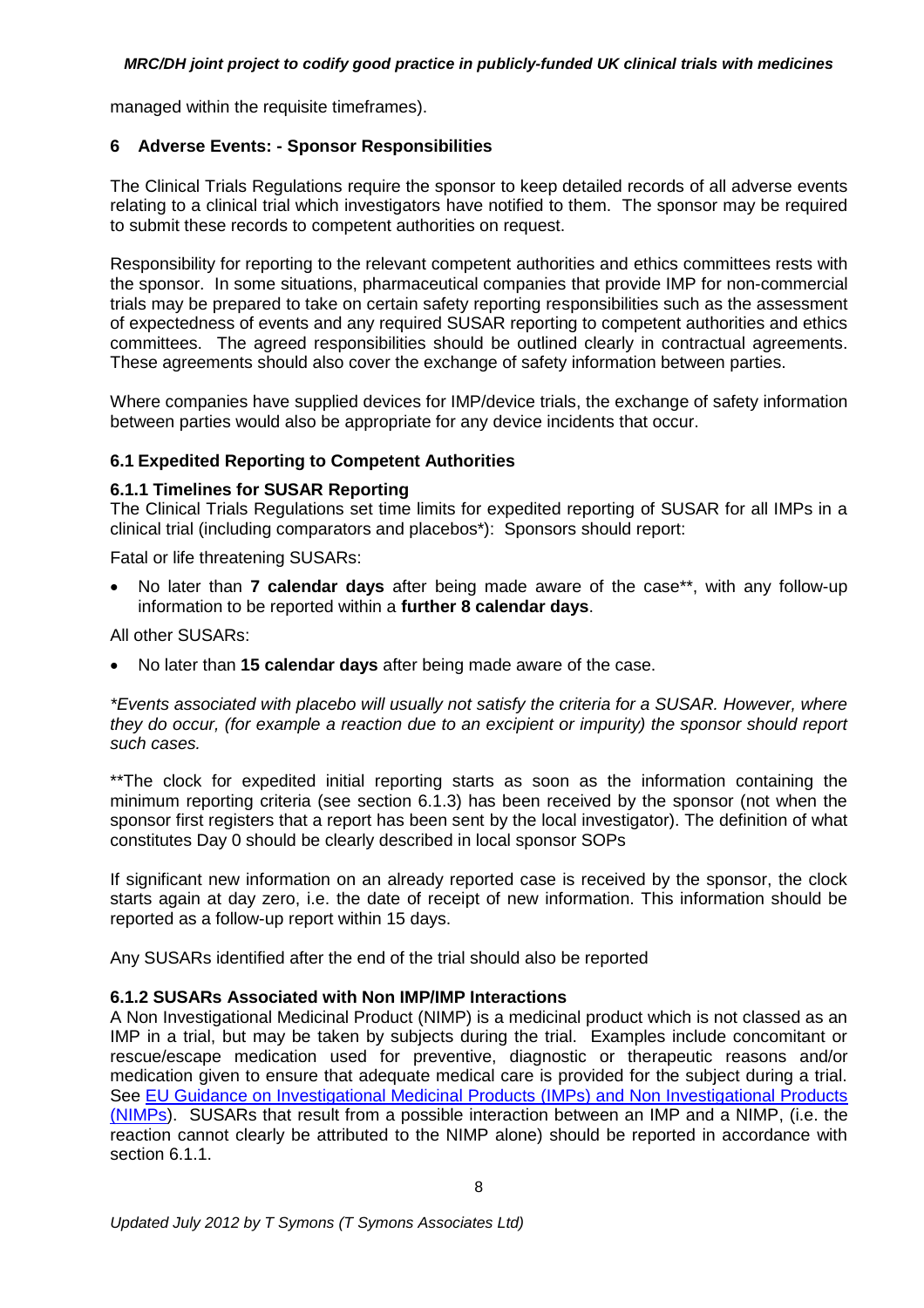managed within the requisite timeframes).

### **6 Adverse Events: - Sponsor Responsibilities**

The Clinical Trials Regulations require the sponsor to keep detailed records of all adverse events relating to a clinical trial which investigators have notified to them. The sponsor may be required to submit these records to competent authorities on request.

Responsibility for reporting to the relevant competent authorities and ethics committees rests with the sponsor. In some situations, pharmaceutical companies that provide IMP for non-commercial trials may be prepared to take on certain safety reporting responsibilities such as the assessment of expectedness of events and any required SUSAR reporting to competent authorities and ethics committees. The agreed responsibilities should be outlined clearly in contractual agreements. These agreements should also cover the exchange of safety information between parties.

Where companies have supplied devices for IMP/device trials, the exchange of safety information between parties would also be appropriate for any device incidents that occur.

### **6.1 Expedited Reporting to Competent Authorities**

### **6.1.1 Timelines for SUSAR Reporting**

The Clinical Trials Regulations set time limits for expedited reporting of SUSAR for all IMPs in a clinical trial (including comparators and placebos\*): Sponsors should report:

Fatal or life threatening SUSARs:

 No later than **7 calendar days** after being made aware of the case\*\*, with any follow-up information to be reported within a **further 8 calendar days**.

All other SUSARs:

No later than **15 calendar days** after being made aware of the case.

*\*Events associated with placebo will usually not satisfy the criteria for a SUSAR. However, where they do occur, (for example a reaction due to an excipient or impurity) the sponsor should report such cases.*

\*\*The clock for expedited initial reporting starts as soon as the information containing the minimum reporting criteria (see section 6.1.3) has been received by the sponsor (not when the sponsor first registers that a report has been sent by the local investigator). The definition of what constitutes Day 0 should be clearly described in local sponsor SOPs

If significant new information on an already reported case is received by the sponsor, the clock starts again at day zero, i.e. the date of receipt of new information. This information should be reported as a follow-up report within 15 days.

Any SUSARs identified after the end of the trial should also be reported

# **6.1.2 SUSARs Associated with Non IMP/IMP Interactions**

A Non Investigational Medicinal Product (NIMP) is a medicinal product which is not classed as an IMP in a trial, but may be taken by subjects during the trial. Examples include concomitant or rescue/escape medication used for preventive, diagnostic or therapeutic reasons and/or medication given to ensure that adequate medical care is provided for the subject during a trial. See [EU Guidance on Investigational Medicinal Products](http://ec.europa.eu/health/files/eudralex/vol-10/imp_03-2011.pdf) (IMPs) and Non Investigational Products [\(NIMPs\)](http://ec.europa.eu/health/files/eudralex/vol-10/imp_03-2011.pdf). SUSARs that result from a possible interaction between an IMP and a NIMP, (i.e. the reaction cannot clearly be attributed to the NIMP alone) should be reported in accordance with section 6.1.1.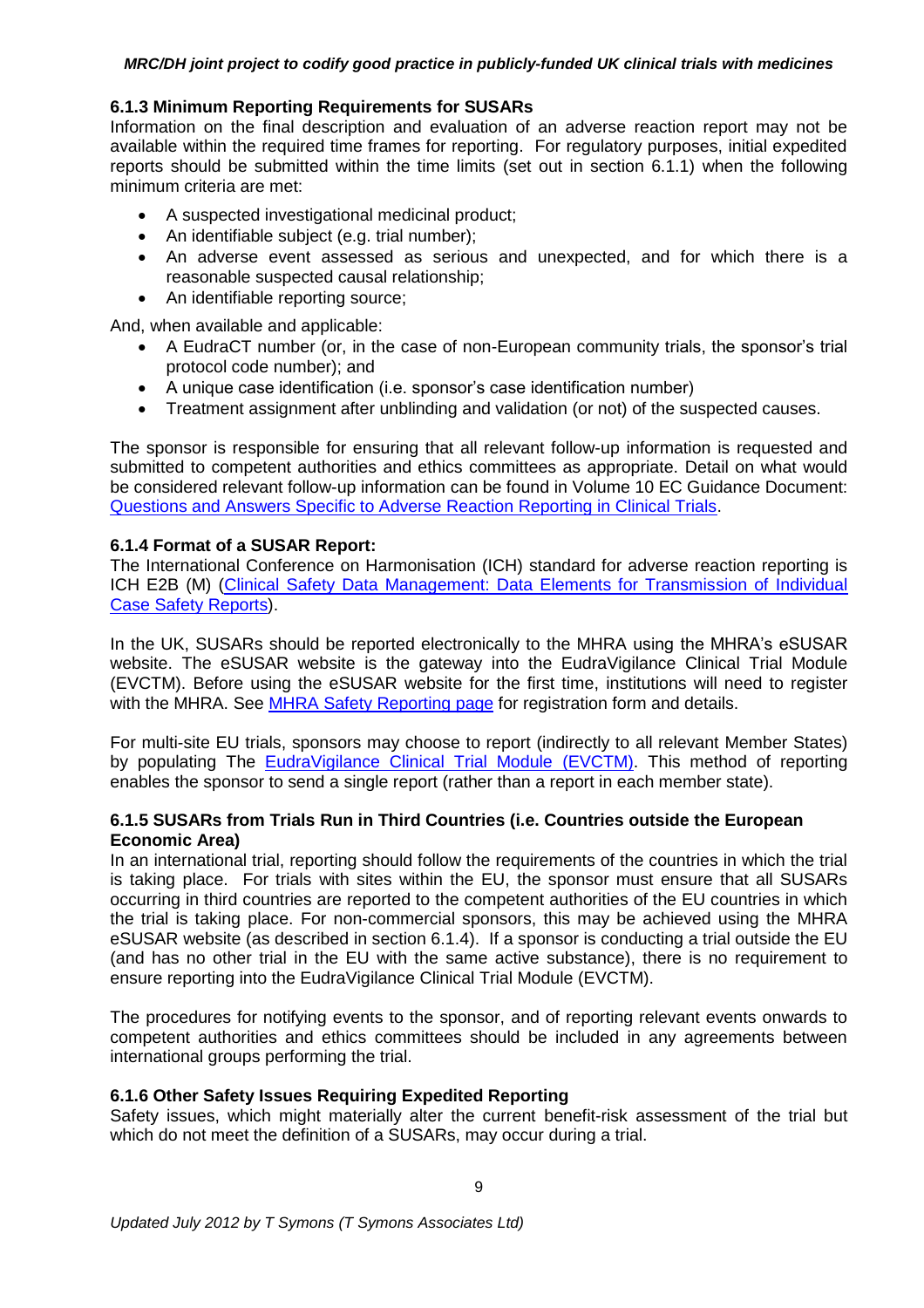#### **6.1.3 Minimum Reporting Requirements for SUSARs**

Information on the final description and evaluation of an adverse reaction report may not be available within the required time frames for reporting. For regulatory purposes, initial expedited reports should be submitted within the time limits (set out in section 6.1.1) when the following minimum criteria are met:

- A suspected investigational medicinal product;
- An identifiable subject (e.g. trial number);
- An adverse event assessed as serious and unexpected, and for which there is a reasonable suspected causal relationship;
- An identifiable reporting source;

And, when available and applicable:

- A EudraCT number (or, in the case of non-European community trials, the sponsor's trial protocol code number); and
- A unique case identification (i.e. sponsor's case identification number)
- Treatment assignment after unblinding and validation (or not) of the suspected causes.

The sponsor is responsible for ensuring that all relevant follow-up information is requested and submitted to competent authorities and ethics committees as appropriate. Detail on what would be considered relevant follow-up information can be found in Volume 10 EC Guidance Document: [Questions and Answers Specific to Adverse Reaction Reporting in Clinical Trials.](http://eudravigilance.ema.europa.eu/human/docs/Q&As%20Chapter%20II%20Volume%2010%20Version%201.0.pdf)

### **6.1.4 Format of a SUSAR Report:**

The International Conference on Harmonisation (ICH) standard for adverse reaction reporting is ICH E2B (M) (Clinical Safety Data Management: Data Elements for Transmission of Individual [Case Safety Reports\)](http://www.ema.europa.eu/docs/en_GB/document_library/Scientific_guideline/2009/09/WC500002750.pdf).

In the UK, SUSARs should be reported electronically to the MHRA using the MHRA's eSUSAR website. The eSUSAR website is the gateway into the EudraVigilance Clinical Trial Module (EVCTM). Before using the eSUSAR website for the first time, institutions will need to register with the MHRA. See [MHRA Safety Reporting page](http://www.mhra.gov.uk/Howweregulate/Medicines/Licensingofmedicines/Clinicaltrials/Safetyreporting-SUSARsandASRs/index.htm#l8) for registration form and details.

For multi-site EU trials, sponsors may choose to report (indirectly to all relevant Member States) by populating The [EudraVigilance Clinical Trial Module \(EVCTM\).](http://eudravigilance.ema.europa.eu/highres.htm) This method of reporting enables the sponsor to send a single report (rather than a report in each member state).

### **6.1.5 SUSARs from Trials Run in Third Countries (i.e. Countries outside the European Economic Area)**

In an international trial, reporting should follow the requirements of the countries in which the trial is taking place. For trials with sites within the EU, the sponsor must ensure that all SUSARs occurring in third countries are reported to the competent authorities of the EU countries in which the trial is taking place. For non-commercial sponsors, this may be achieved using the MHRA eSUSAR website (as described in section 6.1.4). If a sponsor is conducting a trial outside the EU (and has no other trial in the EU with the same active substance), there is no requirement to ensure reporting into the EudraVigilance Clinical Trial Module (EVCTM).

The procedures for notifying events to the sponsor, and of reporting relevant events onwards to competent authorities and ethics committees should be included in any agreements between international groups performing the trial.

### **6.1.6 Other Safety Issues Requiring Expedited Reporting**

Safety issues, which might materially alter the current benefit-risk assessment of the trial but which do not meet the definition of a SUSARs, may occur during a trial.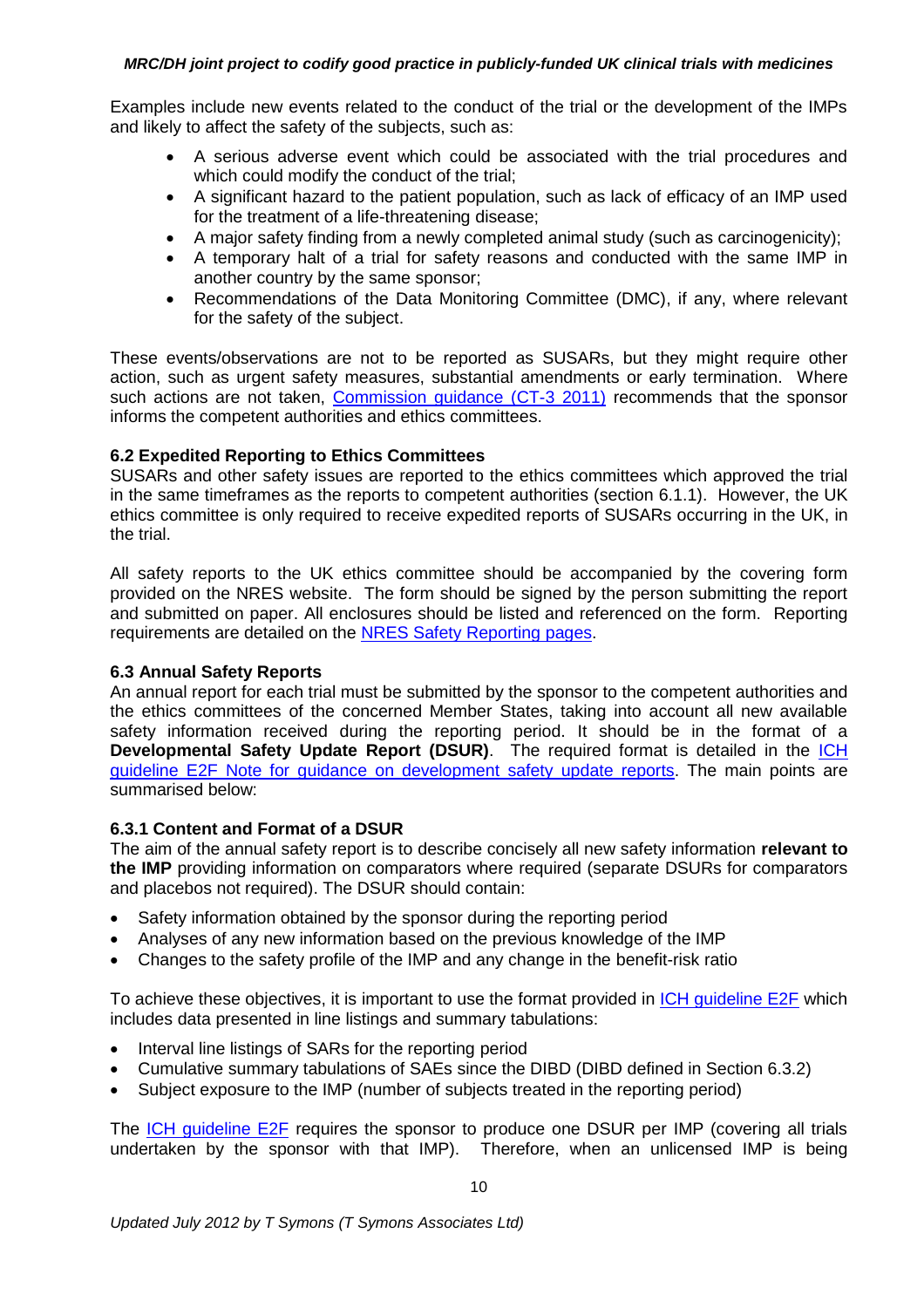Examples include new events related to the conduct of the trial or the development of the IMPs and likely to affect the safety of the subjects, such as:

- A serious adverse event which could be associated with the trial procedures and which could modify the conduct of the trial;
- A significant hazard to the patient population, such as lack of efficacy of an IMP used for the treatment of a life-threatening disease;
- A major safety finding from a newly completed animal study (such as carcinogenicity);
- A temporary halt of a trial for safety reasons and conducted with the same IMP in another country by the same sponsor;
- Recommendations of the Data Monitoring Committee (DMC), if any, where relevant for the safety of the subject.

These events/observations are not to be reported as SUSARs, but they might require other action, such as urgent safety measures, substantial amendments or early termination. Where such actions are not taken, [Commission guidance \(CT-3 2011\)](http://ec.europa.eu/health/files/eudralex/vol-10/2011_c172_01/2011_c172_01_en.pdf) recommends that the sponsor informs the competent authorities and ethics committees.

# **6.2 Expedited Reporting to Ethics Committees**

SUSARs and other safety issues are reported to the ethics committees which approved the trial in the same timeframes as the reports to competent authorities (section 6.1.1). However, the UK ethics committee is only required to receive expedited reports of SUSARs occurring in the UK, in the trial.

All safety reports to the UK ethics committee should be accompanied by the covering form provided on the NRES website. The form should be signed by the person submitting the report and submitted on paper. All enclosures should be listed and referenced on the form. Reporting requirements are detailed on the [NRES Safety Reporting pages.](http://www.nres.nhs.uk/applications/after-ethical-review/safetyreports/safety-reports-for-ctimps/submitting-safety-reports-to-the-rec/)

### **6.3 Annual Safety Reports**

An annual report for each trial must be submitted by the sponsor to the competent authorities and the ethics committees of the concerned Member States, taking into account all new available safety information received during the reporting period. It should be in the format of a **Developmental Safety Update Report (DSUR)**. The required format is detailed in the **ICH** [guideline E2F Note for guidance on development safety update reports.](http://www.ema.europa.eu/docs/en_GB/document_library/Scientific_guideline/2010/09/WC500097061.pdf) The main points are summarised below:

### **6.3.1 Content and Format of a DSUR**

The aim of the annual safety report is to describe concisely all new safety information **relevant to the IMP** providing information on comparators where required (separate DSURs for comparators and placebos not required). The DSUR should contain:

- Safety information obtained by the sponsor during the reporting period
- Analyses of any new information based on the previous knowledge of the IMP
- Changes to the safety profile of the IMP and any change in the benefit-risk ratio

To achieve these objectives, it is important to use the format provided in [ICH guideline E2F](http://www.ema.europa.eu/docs/en_GB/document_library/Scientific_guideline/2010/09/WC500097061.pdf) which includes data presented in line listings and summary tabulations:

- Interval line listings of SARs for the reporting period
- Cumulative summary tabulations of SAEs since the DIBD (DIBD defined in Section 6.3.2)
- Subject exposure to the IMP (number of subjects treated in the reporting period)

The [ICH guideline E2F](http://www.ema.europa.eu/docs/en_GB/document_library/Scientific_guideline/2010/09/WC500097061.pdf) requires the sponsor to produce one DSUR per IMP (covering all trials undertaken by the sponsor with that IMP). Therefore, when an unlicensed IMP is being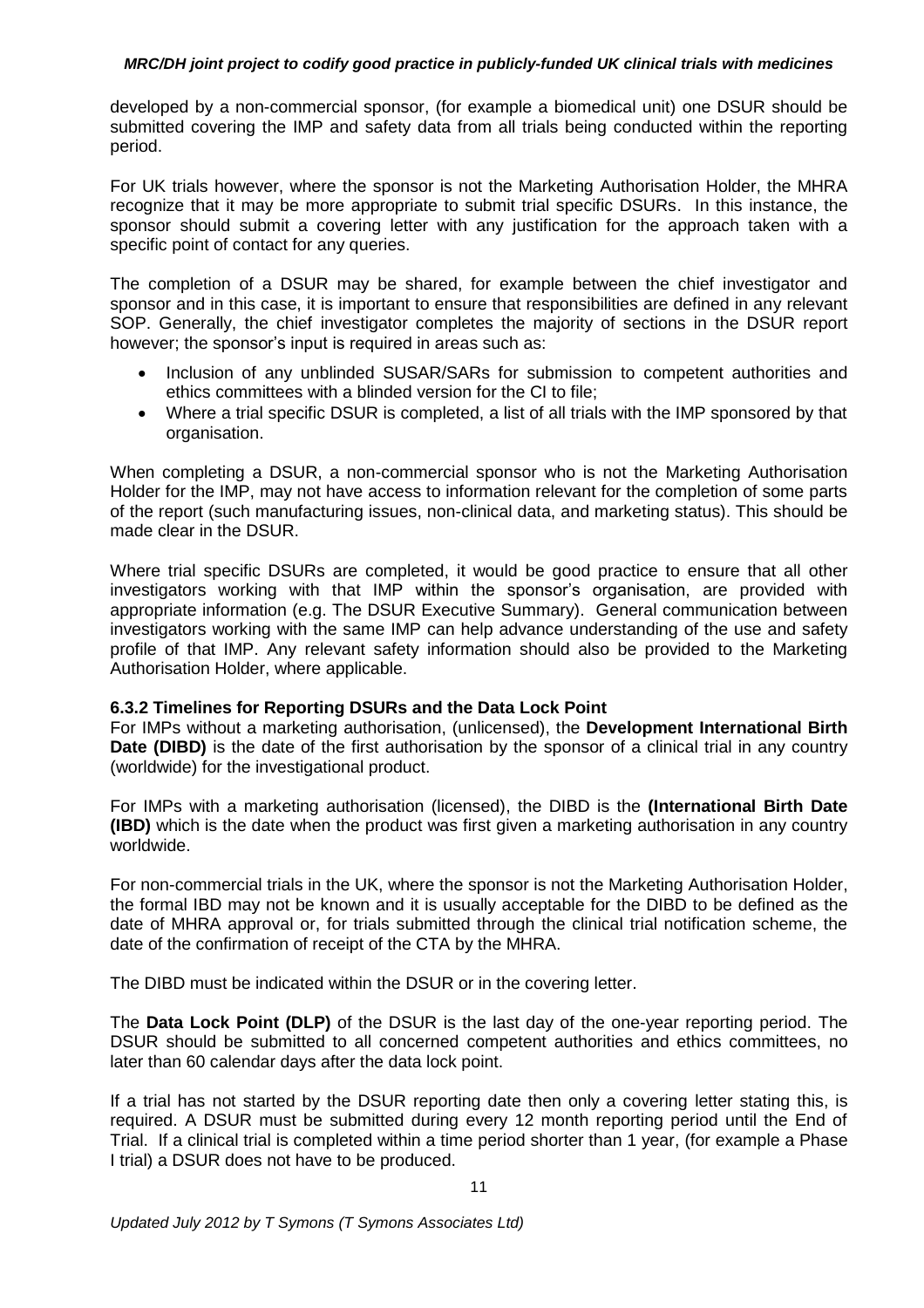developed by a non-commercial sponsor, (for example a biomedical unit) one DSUR should be submitted covering the IMP and safety data from all trials being conducted within the reporting period.

For UK trials however, where the sponsor is not the Marketing Authorisation Holder, the MHRA recognize that it may be more appropriate to submit trial specific DSURs. In this instance, the sponsor should submit a covering letter with any justification for the approach taken with a specific point of contact for any queries.

The completion of a DSUR may be shared, for example between the chief investigator and sponsor and in this case, it is important to ensure that responsibilities are defined in any relevant SOP. Generally, the chief investigator completes the majority of sections in the DSUR report however; the sponsor's input is required in areas such as:

- Inclusion of any unblinded SUSAR/SARs for submission to competent authorities and ethics committees with a blinded version for the CI to file;
- Where a trial specific DSUR is completed, a list of all trials with the IMP sponsored by that organisation.

When completing a DSUR, a non-commercial sponsor who is not the Marketing Authorisation Holder for the IMP, may not have access to information relevant for the completion of some parts of the report (such manufacturing issues, non-clinical data, and marketing status). This should be made clear in the DSUR.

Where trial specific DSURs are completed, it would be good practice to ensure that all other investigators working with that IMP within the sponsor's organisation, are provided with appropriate information (e.g. The DSUR Executive Summary). General communication between investigators working with the same IMP can help advance understanding of the use and safety profile of that IMP. Any relevant safety information should also be provided to the Marketing Authorisation Holder, where applicable.

#### **6.3.2 Timelines for Reporting DSURs and the Data Lock Point**

For IMPs without a marketing authorisation, (unlicensed), the **Development International Birth Date (DIBD)** is the date of the first authorisation by the sponsor of a clinical trial in any country (worldwide) for the investigational product.

For IMPs with a marketing authorisation (licensed), the DIBD is the **(International Birth Date (IBD)** which is the date when the product was first given a marketing authorisation in any country worldwide.

For non-commercial trials in the UK, where the sponsor is not the Marketing Authorisation Holder, the formal IBD may not be known and it is usually acceptable for the DIBD to be defined as the date of MHRA approval or, for trials submitted through the clinical trial notification scheme, the date of the confirmation of receipt of the CTA by the MHRA.

The DIBD must be indicated within the DSUR or in the covering letter.

The **Data Lock Point (DLP)** of the DSUR is the last day of the one-year reporting period. The DSUR should be submitted to all concerned competent authorities and ethics committees, no later than 60 calendar days after the data lock point.

If a trial has not started by the DSUR reporting date then only a covering letter stating this, is required. A DSUR must be submitted during every 12 month reporting period until the End of Trial. If a clinical trial is completed within a time period shorter than 1 year, (for example a Phase I trial) a DSUR does not have to be produced.

11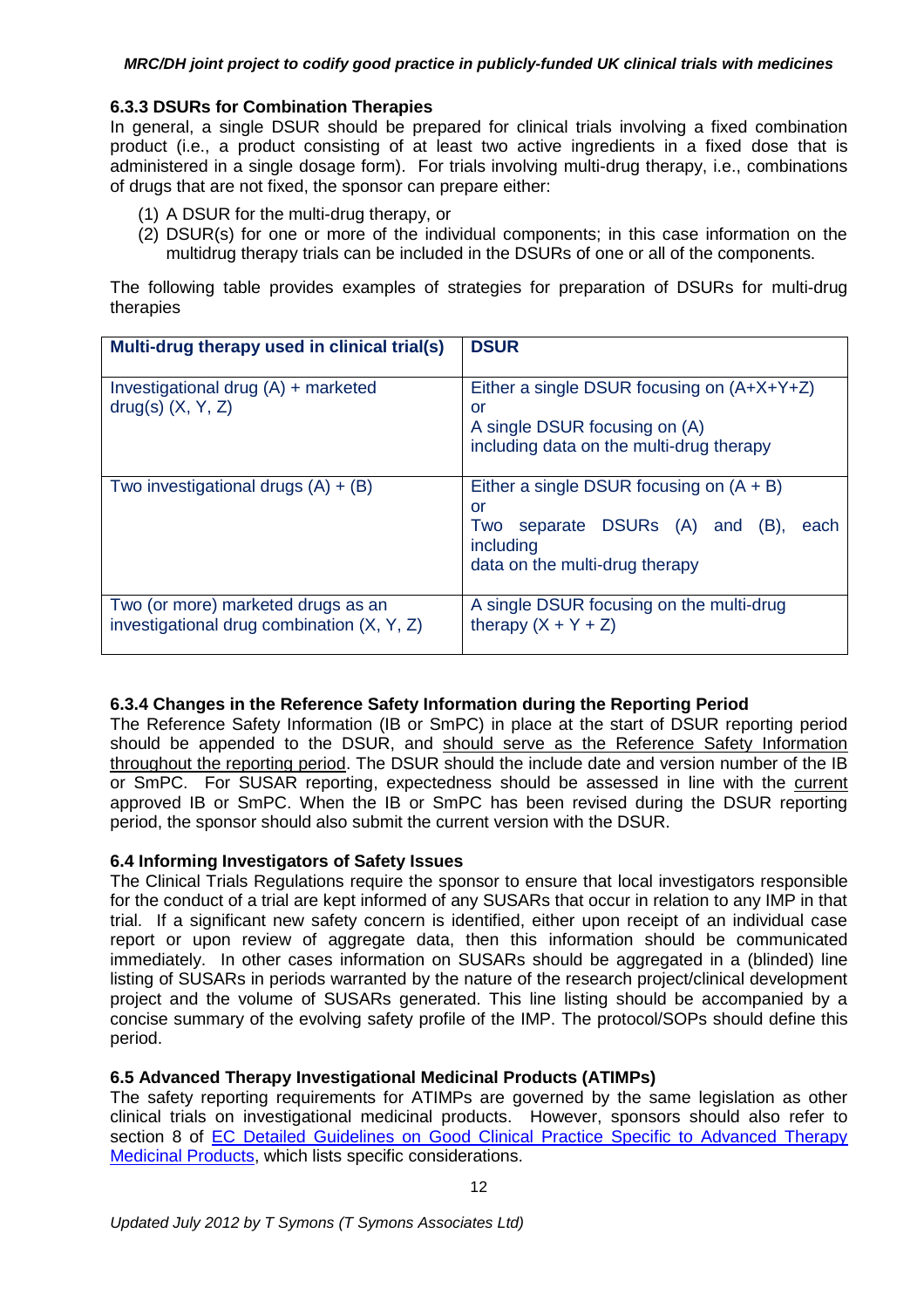# **6.3.3 DSURs for Combination Therapies**

In general, a single DSUR should be prepared for clinical trials involving a fixed combination product (i.e., a product consisting of at least two active ingredients in a fixed dose that is administered in a single dosage form). For trials involving multi-drug therapy, i.e., combinations of drugs that are not fixed, the sponsor can prepare either:

- (1) A DSUR for the multi-drug therapy, or
- (2) DSUR(s) for one or more of the individual components; in this case information on the multidrug therapy trials can be included in the DSURs of one or all of the components.

The following table provides examples of strategies for preparation of DSURs for multi-drug therapies

| Multi-drug therapy used in clinical trial(s)                                       | <b>DSUR</b>                                                                                                                                   |
|------------------------------------------------------------------------------------|-----------------------------------------------------------------------------------------------------------------------------------------------|
| Investigational drug $(A)$ + marketed<br>$drag(s)$ $(X, Y, Z)$                     | Either a single DSUR focusing on $(A+X+Y+Z)$<br>or<br>A single DSUR focusing on (A)<br>including data on the multi-drug therapy               |
| Two investigational drugs $(A) + (B)$                                              | Either a single DSUR focusing on $(A + B)$<br>or<br>separate DSURs (A) and (B),<br>Two<br>each<br>including<br>data on the multi-drug therapy |
| Two (or more) marketed drugs as an<br>investigational drug combination $(X, Y, Z)$ | A single DSUR focusing on the multi-drug<br>therapy $(X + Y + Z)$                                                                             |

# **6.3.4 Changes in the Reference Safety Information during the Reporting Period**

The Reference Safety Information (IB or SmPC) in place at the start of DSUR reporting period should be appended to the DSUR, and should serve as the Reference Safety Information throughout the reporting period. The DSUR should the include date and version number of the IB or SmPC. For SUSAR reporting, expectedness should be assessed in line with the current approved IB or SmPC. When the IB or SmPC has been revised during the DSUR reporting period, the sponsor should also submit the current version with the DSUR.

### **6.4 Informing Investigators of Safety Issues**

The Clinical Trials Regulations require the sponsor to ensure that local investigators responsible for the conduct of a trial are kept informed of any SUSARs that occur in relation to any IMP in that trial. If a significant new safety concern is identified, either upon receipt of an individual case report or upon review of aggregate data, then this information should be communicated immediately. In other cases information on SUSARs should be aggregated in a (blinded) line listing of SUSARs in periods warranted by the nature of the research project/clinical development project and the volume of SUSARs generated. This line listing should be accompanied by a concise summary of the evolving safety profile of the IMP. The protocol/SOPs should define this period.

# **6.5 Advanced Therapy Investigational Medicinal Products (ATIMPs)**

The safety reporting requirements for ATIMPs are governed by the same legislation as other clinical trials on investigational medicinal products. However, sponsors should also refer to section 8 of EC Detailed Guidelines on Good Clinical Practice Specific to Advanced Therapy [Medicinal Products,](http://ec.europa.eu/health/files/eudralex/vol-10/2009_11_03_guideline.pdf) which lists specific considerations.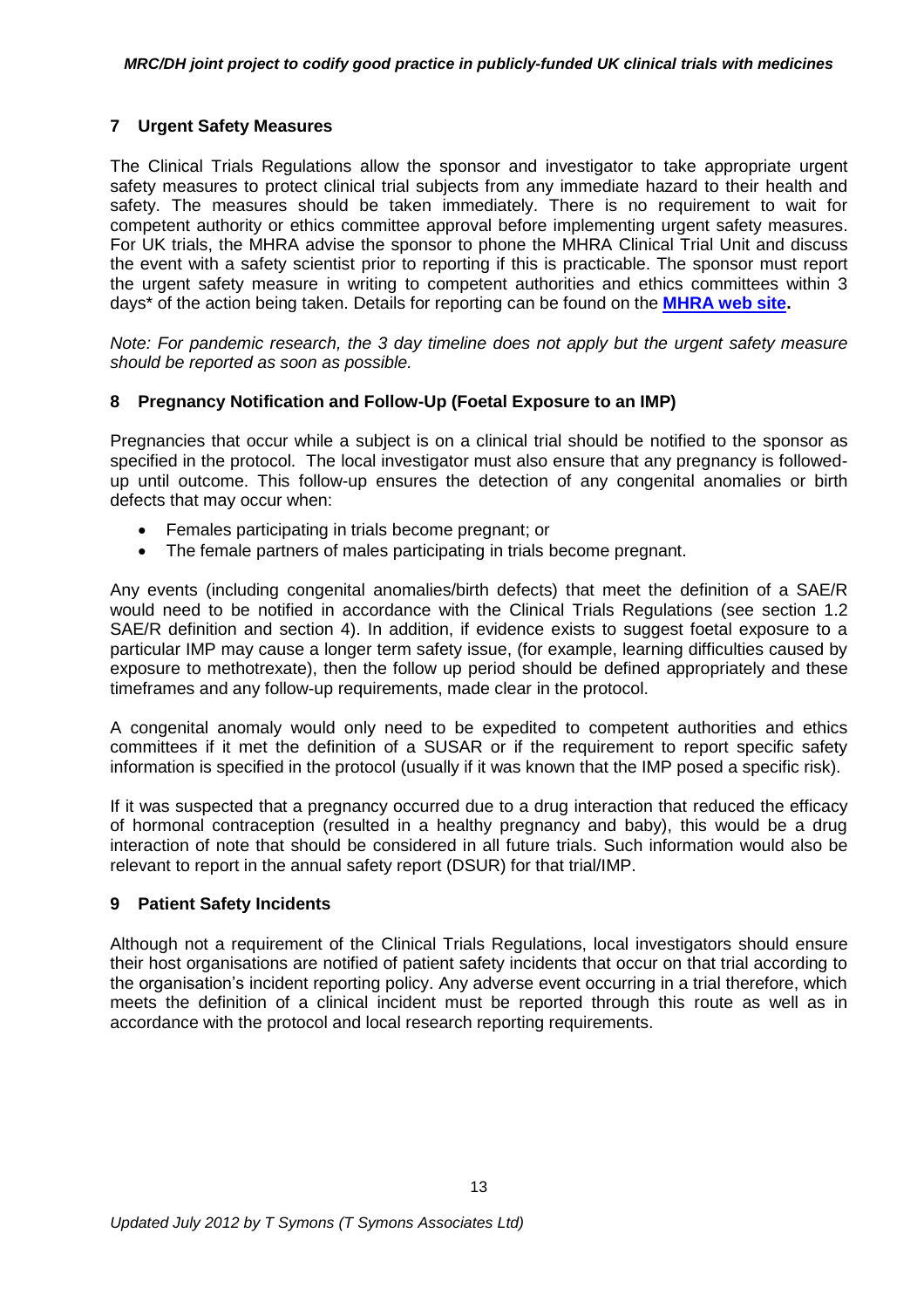# **7 Urgent Safety Measures**

The Clinical Trials Regulations allow the sponsor and investigator to take appropriate urgent safety measures to protect clinical trial subjects from any immediate hazard to their health and safety. The measures should be taken immediately. There is no requirement to wait for competent authority or ethics committee approval before implementing urgent safety measures. For UK trials, the MHRA advise the sponsor to phone the MHRA Clinical Trial Unit and discuss the event with a safety scientist prior to reporting if this is practicable. The sponsor must report the urgent safety measure in writing to competent authorities and ethics committees within 3 days\* of the action being taken. Details for reporting can be found on the **[MHRA web site.](http://www.mhra.gov.uk/Howweregulate/Medicines/Licensingofmedicines/Clinicaltrials/Safetyreporting-SUSARsandASRs/index.htm#l11)**

*Note: For pandemic research, the 3 day timeline does not apply but the urgent safety measure should be reported as soon as possible.*

# **8 Pregnancy Notification and Follow-Up (Foetal Exposure to an IMP)**

Pregnancies that occur while a subject is on a clinical trial should be notified to the sponsor as specified in the protocol. The local investigator must also ensure that any pregnancy is followedup until outcome. This follow-up ensures the detection of any congenital anomalies or birth defects that may occur when:

- Females participating in trials become pregnant; or
- The female partners of males participating in trials become pregnant.

Any events (including congenital anomalies/birth defects) that meet the definition of a SAE/R would need to be notified in accordance with the Clinical Trials Regulations (see section 1.2 SAE/R definition and section 4). In addition, if evidence exists to suggest foetal exposure to a particular IMP may cause a longer term safety issue, (for example, learning difficulties caused by exposure to methotrexate), then the follow up period should be defined appropriately and these timeframes and any follow-up requirements, made clear in the protocol.

A congenital anomaly would only need to be expedited to competent authorities and ethics committees if it met the definition of a SUSAR or if the requirement to report specific safety information is specified in the protocol (usually if it was known that the IMP posed a specific risk).

If it was suspected that a pregnancy occurred due to a drug interaction that reduced the efficacy of hormonal contraception (resulted in a healthy pregnancy and baby), this would be a drug interaction of note that should be considered in all future trials. Such information would also be relevant to report in the annual safety report (DSUR) for that trial/IMP.

### **9 Patient Safety Incidents**

Although not a requirement of the Clinical Trials Regulations, local investigators should ensure their host organisations are notified of patient safety incidents that occur on that trial according to the organisation's incident reporting policy. Any adverse event occurring in a trial therefore, which meets the definition of a clinical incident must be reported through this route as well as in accordance with the protocol and local research reporting requirements.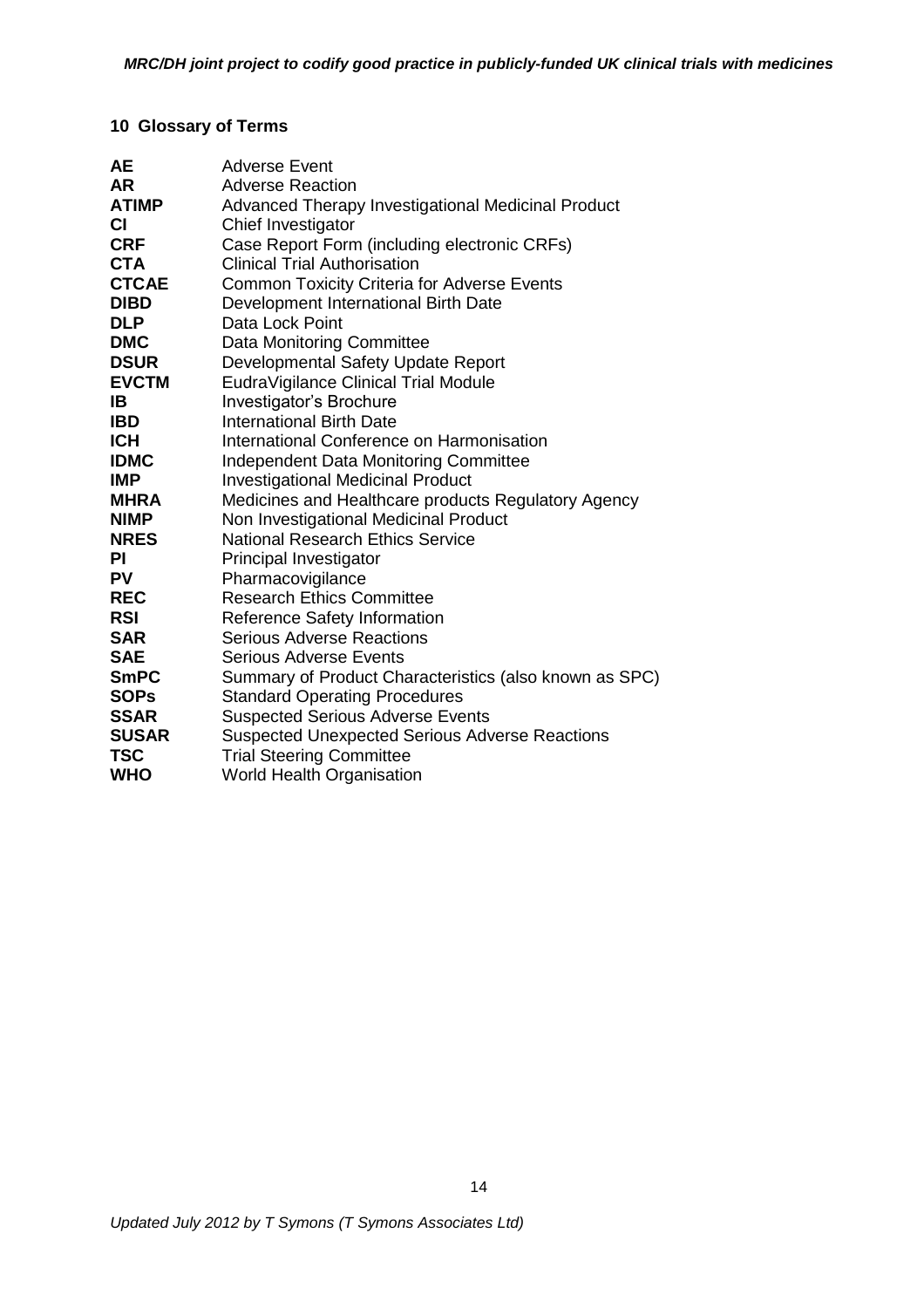# **10 Glossary of Terms**

| <b>Adverse Event</b>                                   |
|--------------------------------------------------------|
| <b>Adverse Reaction</b>                                |
| Advanced Therapy Investigational Medicinal Product     |
| Chief Investigator                                     |
| Case Report Form (including electronic CRFs)           |
| <b>Clinical Trial Authorisation</b>                    |
| <b>Common Toxicity Criteria for Adverse Events</b>     |
| Development International Birth Date                   |
| Data Lock Point                                        |
| <b>Data Monitoring Committee</b>                       |
| Developmental Safety Update Report                     |
| EudraVigilance Clinical Trial Module                   |
| Investigator's Brochure                                |
| <b>International Birth Date</b>                        |
| International Conference on Harmonisation              |
| <b>Independent Data Monitoring Committee</b>           |
| <b>Investigational Medicinal Product</b>               |
| Medicines and Healthcare products Regulatory Agency    |
| Non Investigational Medicinal Product                  |
| <b>National Research Ethics Service</b>                |
| Principal Investigator                                 |
| Pharmacovigilance                                      |
| <b>Research Ethics Committee</b>                       |
| Reference Safety Information                           |
| <b>Serious Adverse Reactions</b>                       |
| Serious Adverse Events                                 |
| Summary of Product Characteristics (also known as SPC) |
| <b>Standard Operating Procedures</b>                   |
| <b>Suspected Serious Adverse Events</b>                |
| <b>Suspected Unexpected Serious Adverse Reactions</b>  |
| <b>Trial Steering Committee</b>                        |
| <b>World Health Organisation</b>                       |
|                                                        |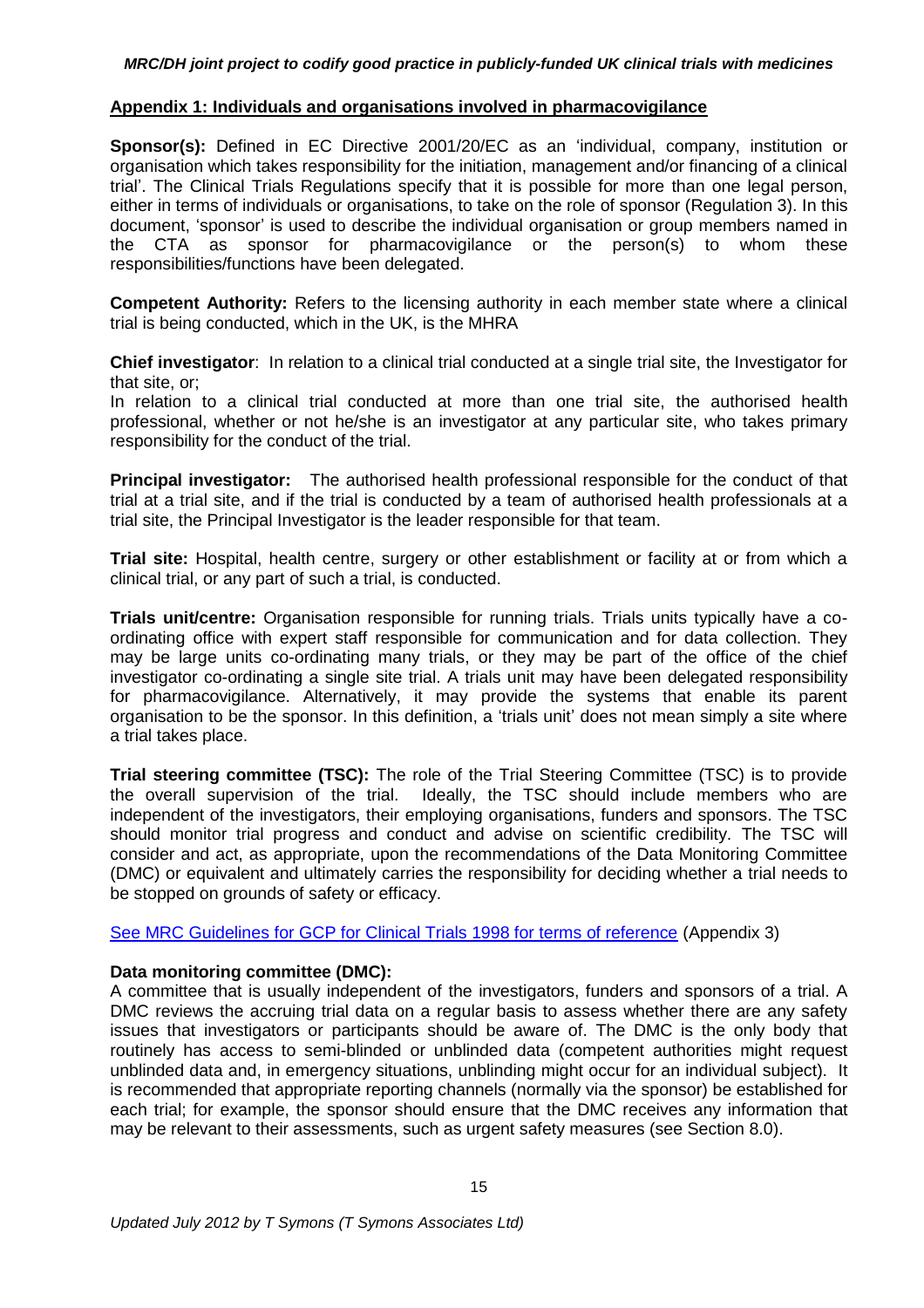#### **Appendix 1: Individuals and organisations involved in pharmacovigilance**

**Sponsor(s):** Defined in EC Directive 2001/20/EC as an 'individual, company, institution or organisation which takes responsibility for the initiation, management and/or financing of a clinical trial'. The Clinical Trials Regulations specify that it is possible for more than one legal person, either in terms of individuals or organisations, to take on the role of sponsor (Regulation 3). In this document, 'sponsor' is used to describe the individual organisation or group members named in the CTA as sponsor for pharmacovigilance or the person(s) to whom these responsibilities/functions have been delegated.

**Competent Authority:** Refers to the licensing authority in each member state where a clinical trial is being conducted, which in the UK, is the MHRA

**Chief investigator**: In relation to a clinical trial conducted at a single trial site, the Investigator for that site, or;

In relation to a clinical trial conducted at more than one trial site, the authorised health professional, whether or not he/she is an investigator at any particular site, who takes primary responsibility for the conduct of the trial.

**Principal investigator:** The authorised health professional responsible for the conduct of that trial at a trial site, and if the trial is conducted by a team of authorised health professionals at a trial site, the Principal Investigator is the leader responsible for that team.

**Trial site:** Hospital, health centre, surgery or other establishment or facility at or from which a clinical trial, or any part of such a trial, is conducted.

**Trials unit/centre:** Organisation responsible for running trials. Trials units typically have a coordinating office with expert staff responsible for communication and for data collection. They may be large units co-ordinating many trials, or they may be part of the office of the chief investigator co-ordinating a single site trial. A trials unit may have been delegated responsibility for pharmacovigilance. Alternatively, it may provide the systems that enable its parent organisation to be the sponsor. In this definition, a 'trials unit' does not mean simply a site where a trial takes place.

**Trial steering committee (TSC):** The role of the Trial Steering Committee (TSC) is to provide the overall supervision of the trial. Ideally, the TSC should include members who are independent of the investigators, their employing organisations, funders and sponsors. The TSC should monitor trial progress and conduct and advise on scientific credibility. The TSC will consider and act, as appropriate, upon the recommendations of the Data Monitoring Committee (DMC) or equivalent and ultimately carries the responsibility for deciding whether a trial needs to be stopped on grounds of safety or efficacy.

[See MRC Guidelines for GCP for Clinical Trials 1998 for terms of reference](http://www.mrc.ac.uk/Utilities/Documentrecord/index.htm?d=MRC002416) (Appendix 3)

#### **Data monitoring committee (DMC):**

A committee that is usually independent of the investigators, funders and sponsors of a trial. A DMC reviews the accruing trial data on a regular basis to assess whether there are any safety issues that investigators or participants should be aware of. The DMC is the only body that routinely has access to semi-blinded or unblinded data (competent authorities might request unblinded data and, in emergency situations, unblinding might occur for an individual subject). It is recommended that appropriate reporting channels (normally via the sponsor) be established for each trial; for example, the sponsor should ensure that the DMC receives any information that may be relevant to their assessments, such as urgent safety measures (see Section 8.0).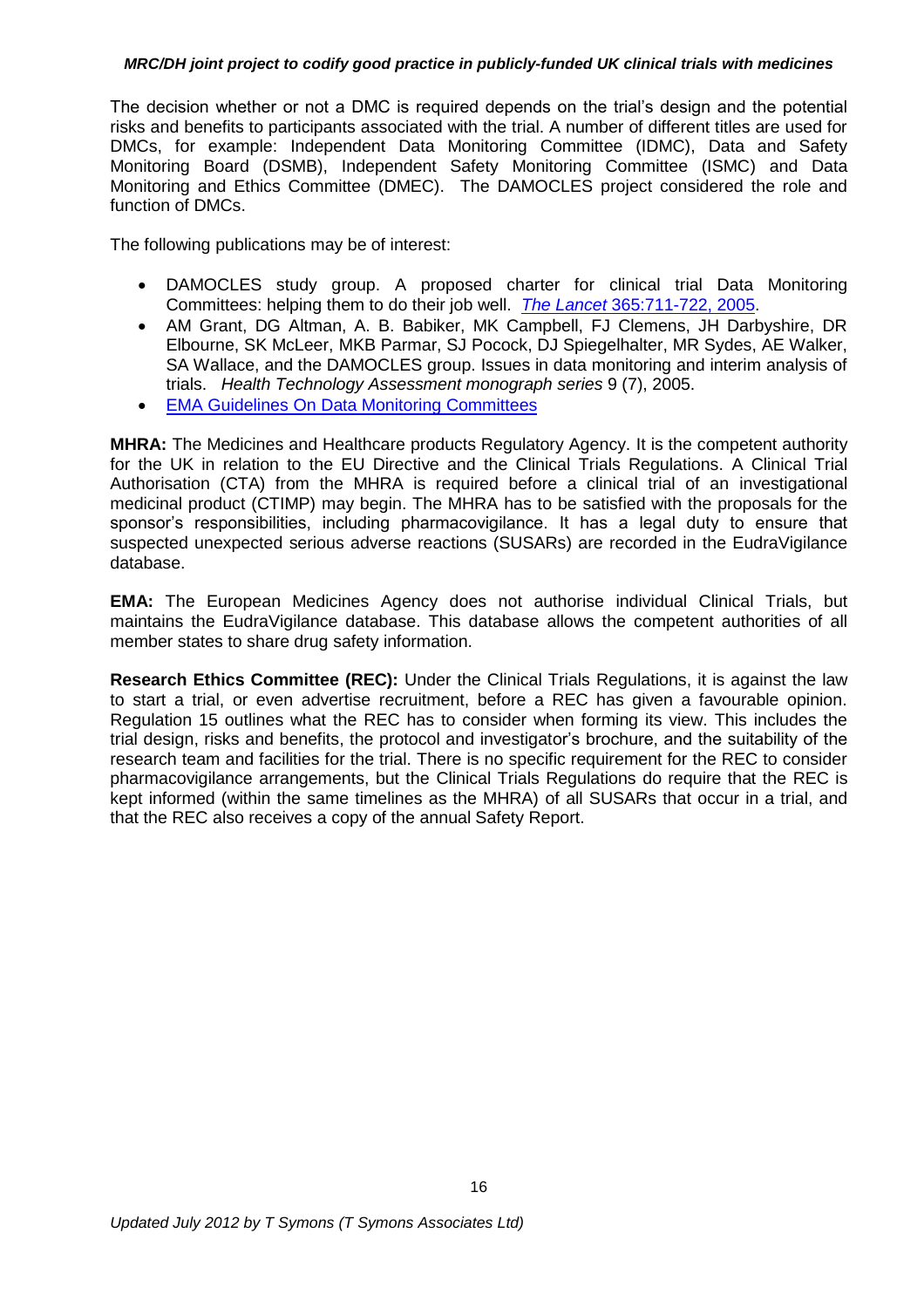The decision whether or not a DMC is required depends on the trial's design and the potential risks and benefits to participants associated with the trial. A number of different titles are used for DMCs, for example: Independent Data Monitoring Committee (IDMC), Data and Safety Monitoring Board (DSMB), Independent Safety Monitoring Committee (ISMC) and Data Monitoring and Ethics Committee (DMEC). The DAMOCLES project considered the role and function of DMCs.

The following publications may be of interest:

- DAMOCLES study group. A proposed charter for clinical trial Data Monitoring Committees: helping them to do their job well. *The Lancet* [365:711-722, 2005.](http://www.thelancet.com/journals/lancet/article/PIIS0140-6736(05)17965-3/abstract)
- AM Grant, DG Altman, A. B. Babiker, MK Campbell, FJ Clemens, JH Darbyshire, DR Elbourne, SK McLeer, MKB Parmar, SJ Pocock, DJ Spiegelhalter, MR Sydes, AE Walker, SA Wallace, and the DAMOCLES group. Issues in data monitoring and interim analysis of trials. *Health Technology Assessment monograph series* 9 (7), 2005.
- [EMA Guidelines On Data Monitoring Committees](http://www.emea.europa.eu/docs/en_GB/document_library/Scientific_guideline/2009/09/WC500003635.pdf)

**MHRA:** The Medicines and Healthcare products Regulatory Agency. It is the competent authority for the UK in relation to the EU Directive and the Clinical Trials Regulations. A Clinical Trial Authorisation (CTA) from the MHRA is required before a clinical trial of an investigational medicinal product (CTIMP) may begin. The MHRA has to be satisfied with the proposals for the sponsor's responsibilities, including pharmacovigilance. It has a legal duty to ensure that suspected unexpected serious adverse reactions (SUSARs) are recorded in the EudraVigilance database.

**EMA:** The European Medicines Agency does not authorise individual Clinical Trials, but maintains the EudraVigilance database. This database allows the competent authorities of all member states to share drug safety information.

**Research Ethics Committee (REC):** Under the Clinical Trials Regulations, it is against the law to start a trial, or even advertise recruitment, before a REC has given a favourable opinion. Regulation 15 outlines what the REC has to consider when forming its view. This includes the trial design, risks and benefits, the protocol and investigator's brochure, and the suitability of the research team and facilities for the trial. There is no specific requirement for the REC to consider pharmacovigilance arrangements, but the Clinical Trials Regulations do require that the REC is kept informed (within the same timelines as the MHRA) of all SUSARs that occur in a trial, and that the REC also receives a copy of the annual Safety Report.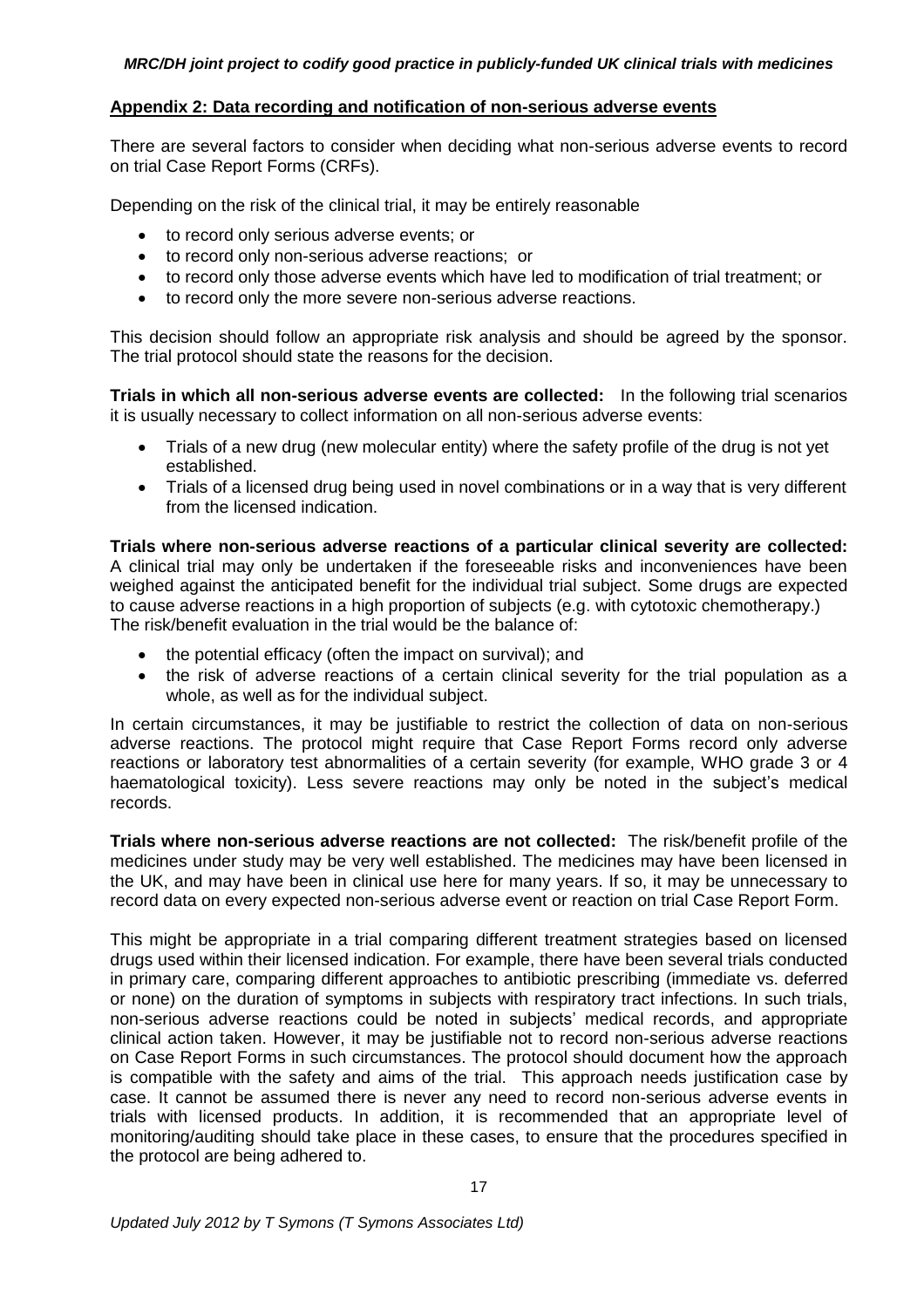#### **Appendix 2: Data recording and notification of non-serious adverse events**

There are several factors to consider when deciding what non-serious adverse events to record on trial Case Report Forms (CRFs).

Depending on the risk of the clinical trial, it may be entirely reasonable

- to record only serious adverse events; or
- to record only non-serious adverse reactions; or
- to record only those adverse events which have led to modification of trial treatment; or
- to record only the more severe non-serious adverse reactions.

This decision should follow an appropriate risk analysis and should be agreed by the sponsor. The trial protocol should state the reasons for the decision.

**Trials in which all non-serious adverse events are collected:** In the following trial scenarios it is usually necessary to collect information on all non-serious adverse events:

- Trials of a new drug (new molecular entity) where the safety profile of the drug is not yet established.
- Trials of a licensed drug being used in novel combinations or in a way that is very different from the licensed indication.

**Trials where non-serious adverse reactions of a particular clinical severity are collected:**  A clinical trial may only be undertaken if the foreseeable risks and inconveniences have been weighed against the anticipated benefit for the individual trial subject. Some drugs are expected to cause adverse reactions in a high proportion of subjects (e.g. with cytotoxic chemotherapy.) The risk/benefit evaluation in the trial would be the balance of:

- the potential efficacy (often the impact on survival); and
- the risk of adverse reactions of a certain clinical severity for the trial population as a whole, as well as for the individual subject.

In certain circumstances, it may be justifiable to restrict the collection of data on non-serious adverse reactions. The protocol might require that Case Report Forms record only adverse reactions or laboratory test abnormalities of a certain severity (for example, WHO grade 3 or 4 haematological toxicity). Less severe reactions may only be noted in the subject's medical records.

**Trials where non-serious adverse reactions are not collected:** The risk/benefit profile of the medicines under study may be very well established. The medicines may have been licensed in the UK, and may have been in clinical use here for many years. If so, it may be unnecessary to record data on every expected non-serious adverse event or reaction on trial Case Report Form.

This might be appropriate in a trial comparing different treatment strategies based on licensed drugs used within their licensed indication. For example, there have been several trials conducted in primary care, comparing different approaches to antibiotic prescribing (immediate vs. deferred or none) on the duration of symptoms in subjects with respiratory tract infections. In such trials, non-serious adverse reactions could be noted in subjects' medical records, and appropriate clinical action taken. However, it may be justifiable not to record non-serious adverse reactions on Case Report Forms in such circumstances. The protocol should document how the approach is compatible with the safety and aims of the trial. This approach needs justification case by case. It cannot be assumed there is never any need to record non-serious adverse events in trials with licensed products. In addition, it is recommended that an appropriate level of monitoring/auditing should take place in these cases, to ensure that the procedures specified in the protocol are being adhered to.